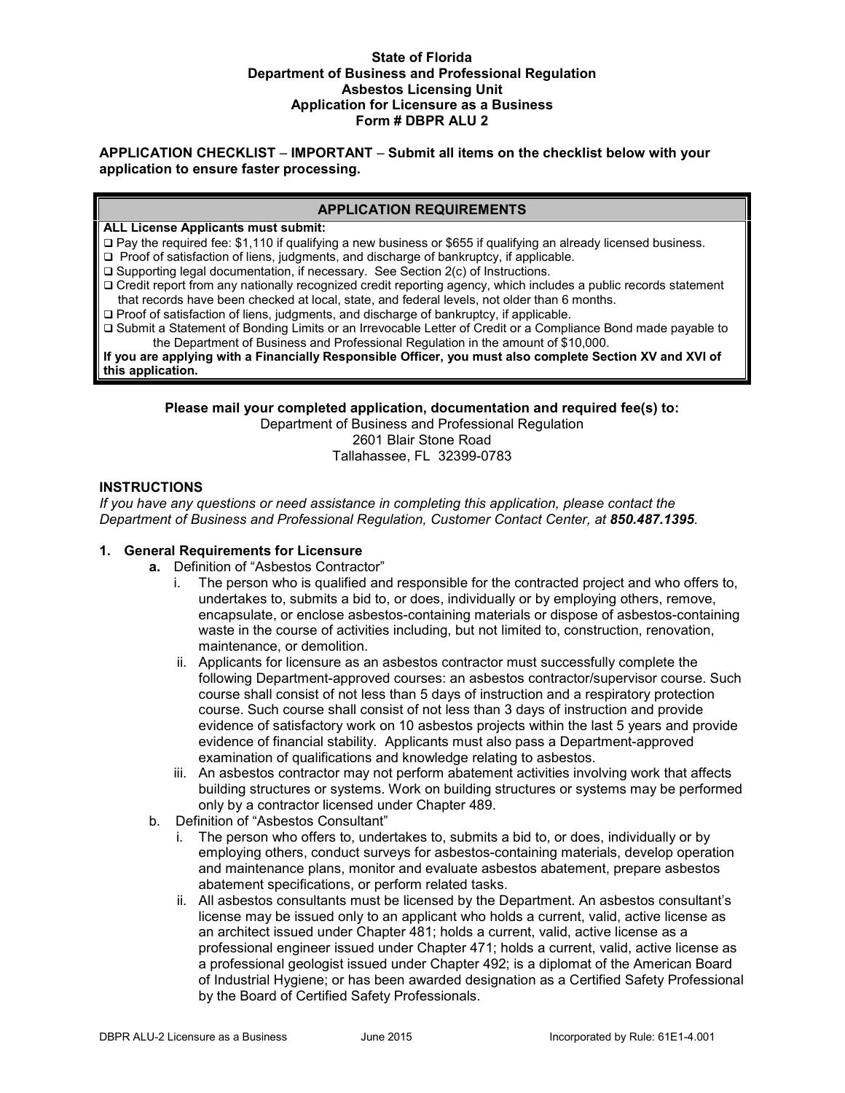#### **State of Florida Department of Business and Professional Regulation Asbestos Licensing Unit Application for Licensure as a Business Form # DBPR ALU 2**

**APPLICATION CHECKLIST** – **IMPORTANT** – **Submit all items on the checklist below with your application to ensure faster processing.**

## **APPLICATION REQUIREMENTS**

#### **ALL License Applicants must submit:**

- Pay the required fee: \$1,110 if qualifying a new business or \$655 if qualifying an already licensed business.
- □ Proof of satisfaction of liens, judgments, and discharge of bankruptcy, if applicable.
- □ Supporting legal documentation, if necessary. See Section 2(c) of Instructions.
- Credit report from any nationally recognized credit reporting agency, which includes a public records statement that records have been checked at local, state, and federal levels, not older than 6 months.
- □ Proof of satisfaction of liens, judgments, and discharge of bankruptcy, if applicable.
- Submit a Statement of Bonding Limits or an Irrevocable Letter of Credit or a Compliance Bond made payable to the Department of Business and Professional Regulation in the amount of \$10,000.

**If you are applying with a Financially Responsible Officer, you must also complete Section XV and XVI of this application.**

**Please mail your completed application, documentation and required fee(s) to:**

Department of Business and Professional Regulation

2601 Blair Stone Road Tallahassee, FL 32399-0783

#### **INSTRUCTIONS**

*If you have any questions or need assistance in completing this application, please contact the Department of Business and Professional Regulation, Customer Contact Center, at 850.487.1395.*

#### **1. General Requirements for Licensure**

- **a.** Definition of "Asbestos Contractor"
	- i. The person who is qualified and responsible for the contracted project and who offers to, undertakes to, submits a bid to, or does, individually or by employing others, remove, encapsulate, or enclose asbestos-containing materials or dispose of asbestos-containing waste in the course of activities including, but not limited to, construction, renovation, maintenance, or demolition.
	- ii. Applicants for licensure as an asbestos contractor must successfully complete the following Department-approved courses: an asbestos contractor/supervisor course. Such course shall consist of not less than 5 days of instruction and a respiratory protection course. Such course shall consist of not less than 3 days of instruction and provide evidence of satisfactory work on 10 asbestos projects within the last 5 years and provide evidence of financial stability. Applicants must also pass a Department-approved examination of qualifications and knowledge relating to asbestos.
	- iii. An asbestos contractor may not perform abatement activities involving work that affects building structures or systems. Work on building structures or systems may be performed only by a contractor licensed under Chapter 489.
- b. Definition of "Asbestos Consultant"
	- i. The person who offers to, undertakes to, submits a bid to, or does, individually or by employing others, conduct surveys for asbestos-containing materials, develop operation and maintenance plans, monitor and evaluate asbestos abatement, prepare asbestos abatement specifications, or perform related tasks.
	- ii. All asbestos consultants must be licensed by the Department. An asbestos consultant's license may be issued only to an applicant who holds a current, valid, active license as an architect issued under Chapter 481; holds a current, valid, active license as a professional engineer issued under Chapter 471; holds a current, valid, active license as a professional geologist issued under Chapter 492; is a diplomat of the American Board of Industrial Hygiene; or has been awarded designation as a Certified Safety Professional by the Board of Certified Safety Professionals.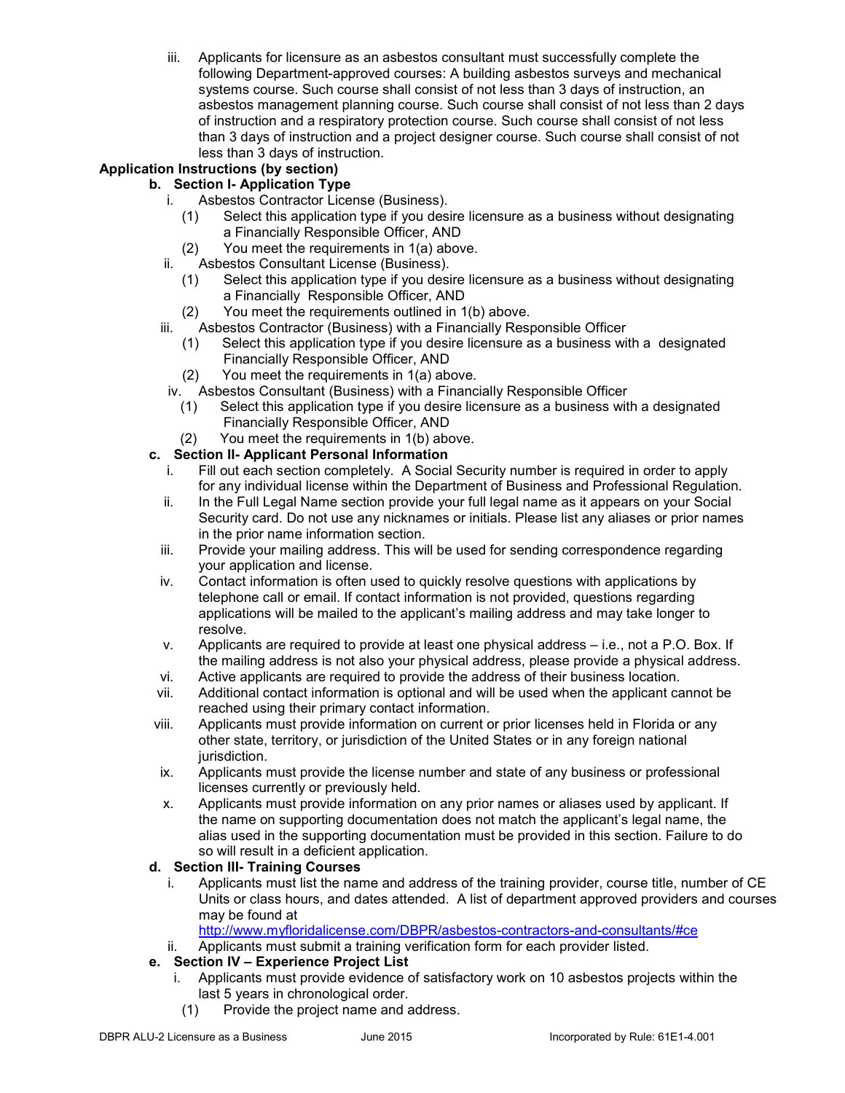iii. Applicants for licensure as an asbestos consultant must successfully complete the following Department-approved courses: A building asbestos surveys and mechanical systems course. Such course shall consist of not less than 3 days of instruction, an asbestos management planning course. Such course shall consist of not less than 2 days of instruction and a respiratory protection course. Such course shall consist of not less than 3 days of instruction and a project designer course. Such course shall consist of not less than 3 days of instruction.

# **Application Instructions (by section)**

## **b. Section I- Application Type**

- i. Asbestos Contractor License (Business).
	- (1) Select this application type if you desire licensure as a business without designating a Financially Responsible Officer, AND
- (2) You meet the requirements in 1(a) above.
- ii. Asbestos Consultant License (Business).
	- (1) Select this application type if you desire licensure as a business without designating a Financially Responsible Officer, AND
	- (2) You meet the requirements outlined in 1(b) above.
- iii. Asbestos Contractor (Business) with a Financially Responsible Officer
	- (1) Select this application type if you desire licensure as a business with a designated Financially Responsible Officer, AND
	- (2) You meet the requirements in 1(a) above.
- iv. Asbestos Consultant (Business) with a Financially Responsible Officer
	- (1) Select this application type if you desire licensure as a business with a designated Financially Responsible Officer, AND
	- (2) You meet the requirements in 1(b) above.

## **c. Section II- Applicant Personal Information**

- i. Fill out each section completely. A Social Security number is required in order to apply for any individual license within the Department of Business and Professional Regulation.
- ii. In the Full Legal Name section provide your full legal name as it appears on your Social Security card. Do not use any nicknames or initials. Please list any aliases or prior names in the prior name information section.
- iii. Provide your mailing address. This will be used for sending correspondence regarding your application and license.
- iv. Contact information is often used to quickly resolve questions with applications by telephone call or email. If contact information is not provided, questions regarding applications will be mailed to the applicant's mailing address and may take longer to resolve.
- v. Applicants are required to provide at least one physical address i.e., not a P.O. Box. If the mailing address is not also your physical address, please provide a physical address.
- vi. Active applicants are required to provide the address of their business location.
- vii. Additional contact information is optional and will be used when the applicant cannot be reached using their primary contact information.
- viii. Applicants must provide information on current or prior licenses held in Florida or any other state, territory, or jurisdiction of the United States or in any foreign national jurisdiction.
- ix. Applicants must provide the license number and state of any business or professional licenses currently or previously held.
- x. Applicants must provide information on any prior names or aliases used by applicant. If the name on supporting documentation does not match the applicant's legal name, the alias used in the supporting documentation must be provided in this section. Failure to do so will result in a deficient application.

## **d. Section III- Training Courses**

i. Applicants must list the name and address of the training provider, course title, number of CE Units or class hours, and dates attended. A list of department approved providers and courses may be found at

<http://www.myfloridalicense.com/DBPR/asbestos-contractors-and-consultants/#ce>

ii. Applicants must submit a training verification form for each provider listed.

## **e. Section IV – Experience Project List**

- i. Applicants must provide evidence of satisfactory work on 10 asbestos projects within the last 5 years in chronological order.
	- (1) Provide the project name and address.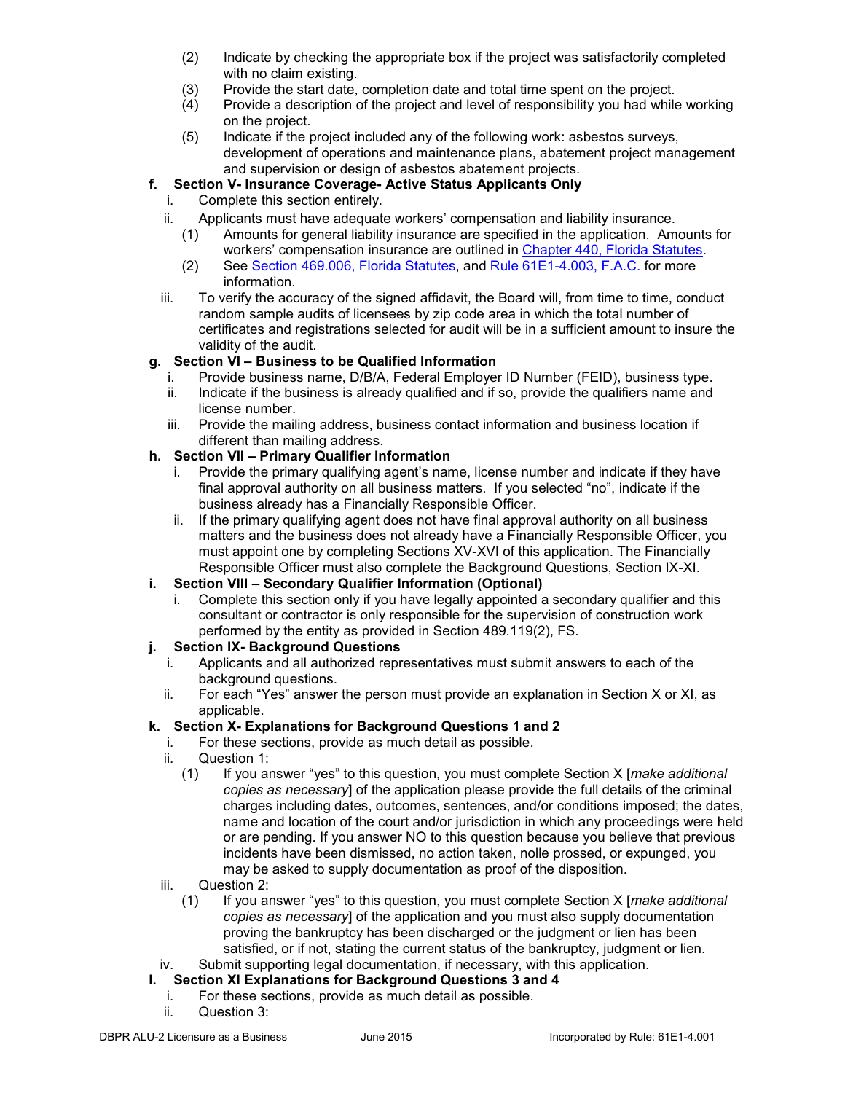- (2) Indicate by checking the appropriate box if the project was satisfactorily completed with no claim existing.
- 
- (3) Provide the start date, completion date and total time spent on the project.<br>(4) Provide a description of the project and level of responsibility you had while Provide a description of the project and level of responsibility you had while working on the project.
- (5) Indicate if the project included any of the following work: asbestos surveys, development of operations and maintenance plans, abatement project management and supervision or design of asbestos abatement projects.

# **f. Section V- Insurance Coverage- Active Status Applicants Only**

- i. Complete this section entirely.
- 
- ii. Applicants must have adequate workers' compensation and liability insurance.<br>(1) Amounts for general liability insurance are specified in the application. Am Amounts for general liability insurance are specified in the application. Amounts for workers' compensation insurance are outlined in [Chapter 440, Florida Statutes.](http://www.leg.state.fl.us/STATUTES/index.cfm?App_mode=Display_Statute&URL=0400-0499/0440/0440ContentsIndex.html&StatuteYear=2010&Title=%2D%3E2010%2D%3EChapter%20440)
	- (2) See [Section 469.006, Florida Statutes,](http://www.leg.state.fl.us/Statutes/index.cfm?App_mode=Display_Statute&Search_String=&URL=0400-0499/0489/Sections/0489.115.html) and [Rule 61E1-4.003, F.A.C.](https://www.flrules.org/gateway/readFile.asp?sid=0&tid=4819074&type=1&file=61G4-15.003.doc) for more information.
- iii. To verify the accuracy of the signed affidavit, the Board will, from time to time, conduct random sample audits of licensees by zip code area in which the total number of certificates and registrations selected for audit will be in a sufficient amount to insure the validity of the audit.

## **g. Section VI – Business to be Qualified Information**

- i. Provide business name, D/B/A, Federal Employer ID Number (FEID), business type.
- ii. Indicate if the business is already qualified and if so, provide the qualifiers name and license number.
- iii. Provide the mailing address, business contact information and business location if different than mailing address.

## **h. Section VII – Primary Qualifier Information**

- i. Provide the primary qualifying agent's name, license number and indicate if they have final approval authority on all business matters. If you selected "no", indicate if the business already has a Financially Responsible Officer.
- ii. If the primary qualifying agent does not have final approval authority on all business matters and the business does not already have a Financially Responsible Officer, you must appoint one by completing Sections XV-XVI of this application. The Financially Responsible Officer must also complete the Background Questions, Section IX-XI.

# **i. Section VIII – Secondary Qualifier Information (Optional)**

i. Complete this section only if you have legally appointed a secondary qualifier and this consultant or contractor is only responsible for the supervision of construction work performed by the entity as provided in Section 489.119(2), FS.

# **j. Section IX- Background Questions**

- i. Applicants and all authorized representatives must submit answers to each of the background questions.
- ii. For each "Yes" answer the person must provide an explanation in Section X or XI, as applicable.

## **k. Section X- Explanations for Background Questions 1 and 2**

- i. For these sections, provide as much detail as possible.
- ii. Question 1:<br>(1) If you ar
	- (1) If you answer "yes" to this question, you must complete Section X [*make additional copies as necessary*] of the application please provide the full details of the criminal charges including dates, outcomes, sentences, and/or conditions imposed; the dates, name and location of the court and/or jurisdiction in which any proceedings were held or are pending. If you answer NO to this question because you believe that previous incidents have been dismissed, no action taken, nolle prossed, or expunged, you may be asked to supply documentation as proof of the disposition.
- iii. Question 2:
	- (1) If you answer "yes" to this question, you must complete Section X [*make additional copies as necessary*] of the application and you must also supply documentation proving the bankruptcy has been discharged or the judgment or lien has been satisfied, or if not, stating the current status of the bankruptcy, judgment or lien.
- iv. Submit supporting legal documentation, if necessary, with this application.

# **l. Section XI Explanations for Background Questions 3 and 4**

- For these sections, provide as much detail as possible.
- ii. Question 3: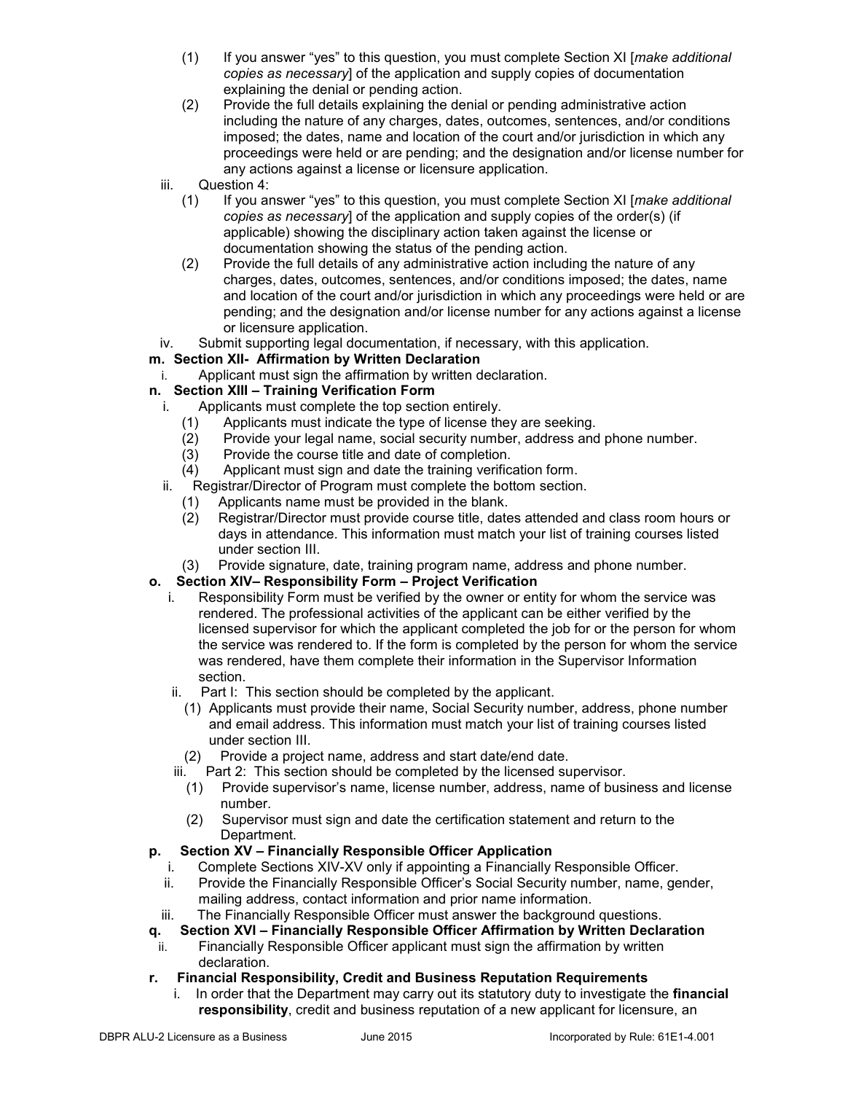- (1) If you answer "yes" to this question, you must complete Section XI [*make additional copies as necessary*] of the application and supply copies of documentation explaining the denial or pending action.
- (2) Provide the full details explaining the denial or pending administrative action including the nature of any charges, dates, outcomes, sentences, and/or conditions imposed; the dates, name and location of the court and/or jurisdiction in which any proceedings were held or are pending; and the designation and/or license number for any actions against a license or licensure application.
- iii. Question 4:
	- (1) If you answer "yes" to this question, you must complete Section XI [*make additional copies as necessary*] of the application and supply copies of the order(s) (if applicable) showing the disciplinary action taken against the license or documentation showing the status of the pending action.
	- (2) Provide the full details of any administrative action including the nature of any charges, dates, outcomes, sentences, and/or conditions imposed; the dates, name and location of the court and/or jurisdiction in which any proceedings were held or are pending; and the designation and/or license number for any actions against a license or licensure application.
- iv. Submit supporting legal documentation, if necessary, with this application.

## **m. Section XII- Affirmation by Written Declaration**

i. Applicant must sign the affirmation by written declaration.

## **n. Section XIII – Training Verification Form**

- i. Applicants must complete the top section entirely.
	- (1) Applicants must indicate the type of license they are seeking.
	- (2) Provide your legal name, social security number, address and phone number.
	- (3) Provide the course title and date of completion.
	- (4) Applicant must sign and date the training verification form.
- ii. Registrar/Director of Program must complete the bottom section.
	- (1) Applicants name must be provided in the blank.
	- (2) Registrar/Director must provide course title, dates attended and class room hours or days in attendance. This information must match your list of training courses listed under section III.
	- (3) Provide signature, date, training program name, address and phone number.

## **o. Section XIV– Responsibility Form – Project Verification**

- i. Responsibility Form must be verified by the owner or entity for whom the service was rendered. The professional activities of the applicant can be either verified by the licensed supervisor for which the applicant completed the job for or the person for whom the service was rendered to. If the form is completed by the person for whom the service was rendered, have them complete their information in the Supervisor Information section.
	- ii. Part I: This section should be completed by the applicant.
		- (1) Applicants must provide their name, Social Security number, address, phone number and email address. This information must match your list of training courses listed under section III.
	- (2) Provide a project name, address and start date/end date.
	- iii. Part 2: This section should be completed by the licensed supervisor.
		- (1) Provide supervisor's name, license number, address, name of business and license number.
		- (2) Supervisor must sign and date the certification statement and return to the Department.

## **p. Section XV – Financially Responsible Officer Application**

- i. Complete Sections XIV-XV only if appointing a Financially Responsible Officer.
- ii. Provide the Financially Responsible Officer's Social Security number, name, gender, mailing address, contact information and prior name information.
- iii. The Financially Responsible Officer must answer the background questions.
- **q. Section XVI – Financially Responsible Officer Affirmation by Written Declaration**
- ii. Financially Responsible Officer applicant must sign the affirmation by written declaration.

## **r. Financial Responsibility, Credit and Business Reputation Requirements**

i. In order that the Department may carry out its statutory duty to investigate the **financial responsibility**, credit and business reputation of a new applicant for licensure, an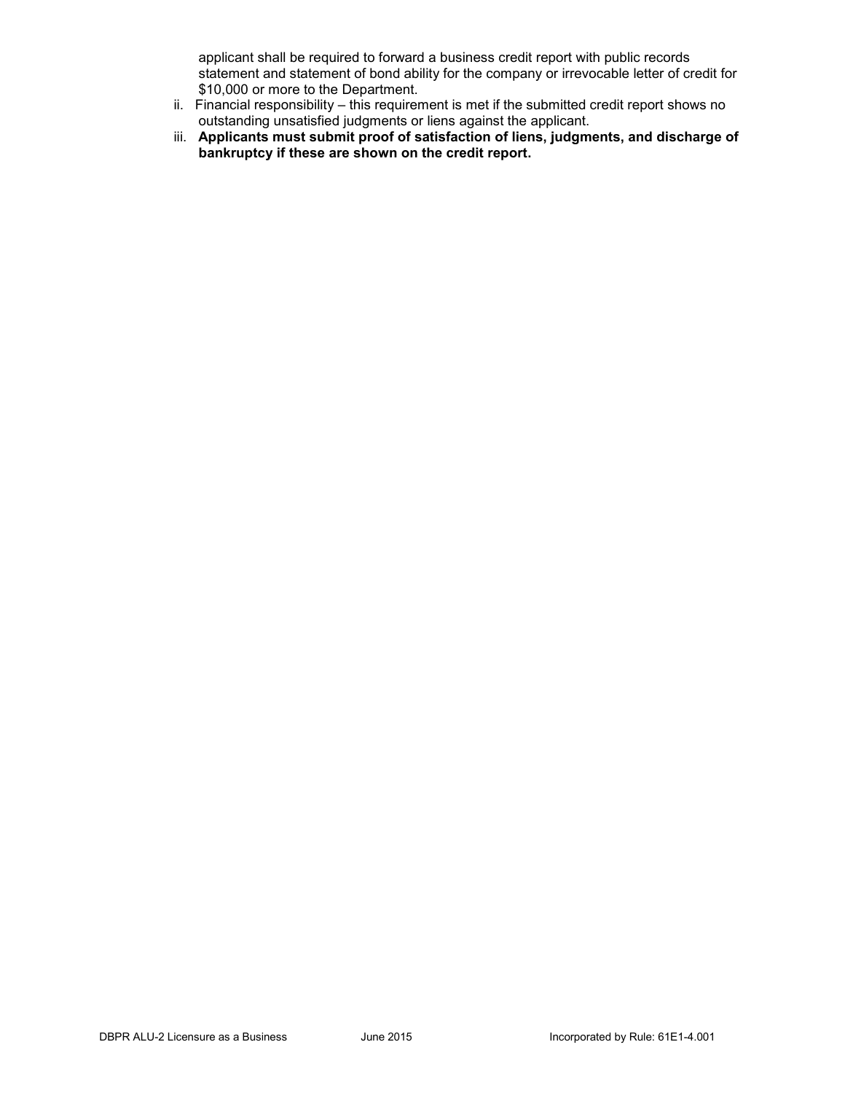applicant shall be required to forward a business credit report with public records statement and statement of bond ability for the company or irrevocable letter of credit for \$10,000 or more to the Department.

- ii. Financial responsibility this requirement is met if the submitted credit report shows no outstanding unsatisfied judgments or liens against the applicant.
- iii. **Applicants must submit proof of satisfaction of liens, judgments, and discharge of bankruptcy if these are shown on the credit report.**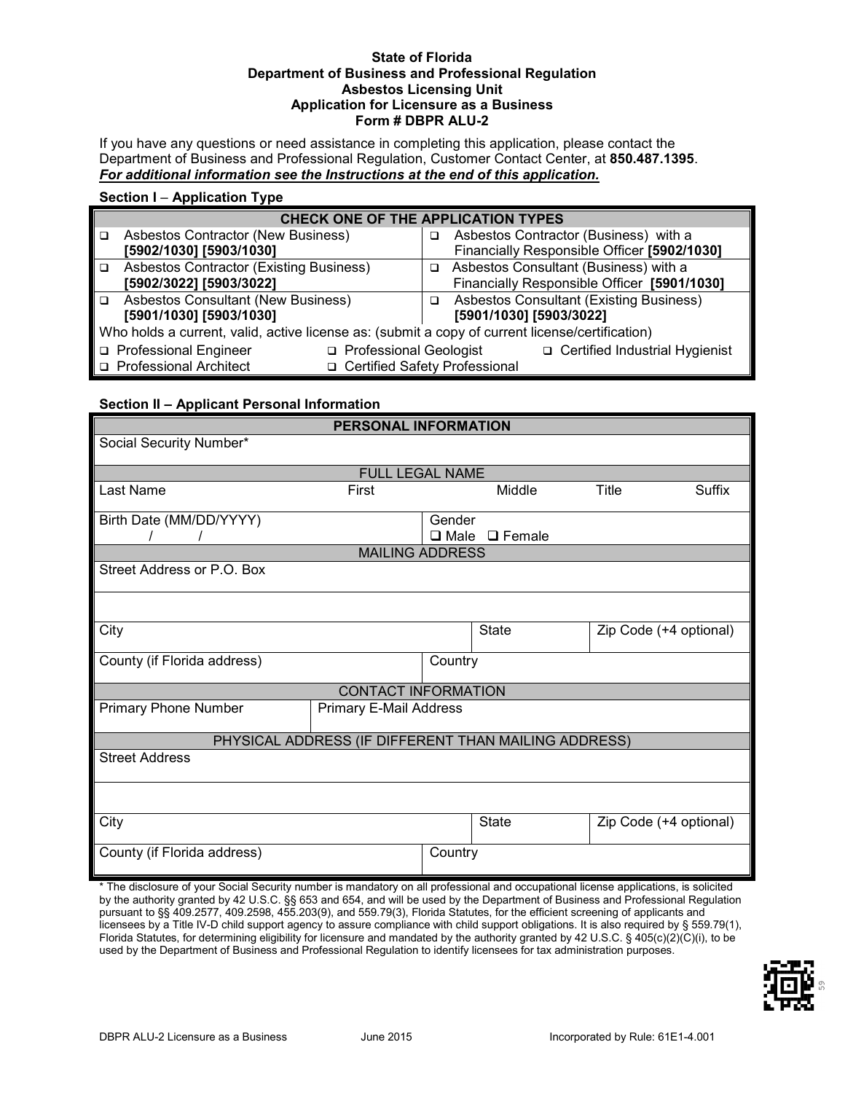#### **State of Florida Department of Business and Professional Regulation Asbestos Licensing Unit Application for Licensure as a Business Form # DBPR ALU-2**

If you have any questions or need assistance in completing this application, please contact the Department of Business and Professional Regulation, Customer Contact Center, at **850.487.1395**. *For additional information see the Instructions at the end of this application.*

#### **Section I** – **Application Type**

|        | <b>CHECK ONE OF THE APPLICATION TYPES</b>                                                       |  |   |                                                |  |
|--------|-------------------------------------------------------------------------------------------------|--|---|------------------------------------------------|--|
| □      | Asbestos Contractor (New Business)                                                              |  | ◻ | Asbestos Contractor (Business) with a          |  |
|        | [5902/1030] [5903/1030]                                                                         |  |   | Financially Responsible Officer [5902/1030]    |  |
| $\Box$ | <b>Asbestos Contractor (Existing Business)</b>                                                  |  | ◻ | Asbestos Consultant (Business) with a          |  |
|        | [5902/3022] [5903/3022]                                                                         |  |   | Financially Responsible Officer [5901/1030]    |  |
| $\Box$ | <b>Asbestos Consultant (New Business)</b>                                                       |  | ◻ | <b>Asbestos Consultant (Existing Business)</b> |  |
|        | [5901/1030] [5903/1030]                                                                         |  |   | [5901/1030] [5903/3022]                        |  |
|        | Who holds a current, valid, active license as: (submit a copy of current license/certification) |  |   |                                                |  |
|        | □ Professional Engineer<br>□ Professional Geologist                                             |  |   | □ Certified Industrial Hygienist               |  |
|        | □ Certified Safety Professional<br>□ Professional Architect                                     |  |   |                                                |  |

#### **Section II – Applicant Personal Information**

| <b>PERSONAL INFORMATION</b>                                                                                                          |                                                      |             |               |                        |        |
|--------------------------------------------------------------------------------------------------------------------------------------|------------------------------------------------------|-------------|---------------|------------------------|--------|
| Social Security Number*                                                                                                              |                                                      |             |               |                        |        |
|                                                                                                                                      | <b>FULL LEGAL NAME</b>                               |             |               |                        |        |
| Last Name                                                                                                                            | First                                                |             | Middle        | Title                  | Suffix |
|                                                                                                                                      |                                                      |             |               |                        |        |
| Birth Date (MM/DD/YYYY)                                                                                                              |                                                      | Gender      |               |                        |        |
|                                                                                                                                      |                                                      | $\Box$ Male | $\Box$ Female |                        |        |
|                                                                                                                                      | <b>MAILING ADDRESS</b>                               |             |               |                        |        |
| Street Address or P.O. Box                                                                                                           |                                                      |             |               |                        |        |
|                                                                                                                                      |                                                      |             |               |                        |        |
|                                                                                                                                      |                                                      |             |               |                        |        |
| City                                                                                                                                 |                                                      |             | <b>State</b>  | Zip Code (+4 optional) |        |
|                                                                                                                                      |                                                      |             |               |                        |        |
| County (if Florida address)                                                                                                          |                                                      | Country     |               |                        |        |
|                                                                                                                                      | <b>CONTACT INFORMATION</b>                           |             |               |                        |        |
| <b>Primary Phone Number</b>                                                                                                          | <b>Primary E-Mail Address</b>                        |             |               |                        |        |
|                                                                                                                                      |                                                      |             |               |                        |        |
|                                                                                                                                      | PHYSICAL ADDRESS (IF DIFFERENT THAN MAILING ADDRESS) |             |               |                        |        |
| <b>Street Address</b>                                                                                                                |                                                      |             |               |                        |        |
|                                                                                                                                      |                                                      |             |               |                        |        |
|                                                                                                                                      |                                                      |             |               |                        |        |
| City                                                                                                                                 |                                                      |             | <b>State</b>  | Zip Code (+4 optional) |        |
|                                                                                                                                      |                                                      |             |               |                        |        |
| County (if Florida address)                                                                                                          |                                                      | Country     |               |                        |        |
|                                                                                                                                      |                                                      |             |               |                        |        |
| * The disclosure of your Social Security number is mandatory on all professional and occupational license applications, is solicited |                                                      |             |               |                        |        |
| by the authority granted by 42 U.S.C. §§ 653 and 654, and will be used by the Department of Business and Professional Regulation     |                                                      |             |               |                        |        |

by the authority granted by 42 U.S.C. §§ 653 and 654, and will be used by the Department of Business and Professional Regulation pursuant to §§ 409.2577, 409.2598, 455.203(9), and 559.79(3), Florida Statutes, for the efficient screening of applicants and licensees by a Title IV-D child support agency to assure compliance with child support obligations. It is also required by § 559.79(1), Florida Statutes, for determining eligibility for licensure and mandated by the authority granted by 42 U.S.C. § 405(c)(2)(C)(i), to be used by the Department of Business and Professional Regulation to identify licensees for tax administration purposes.

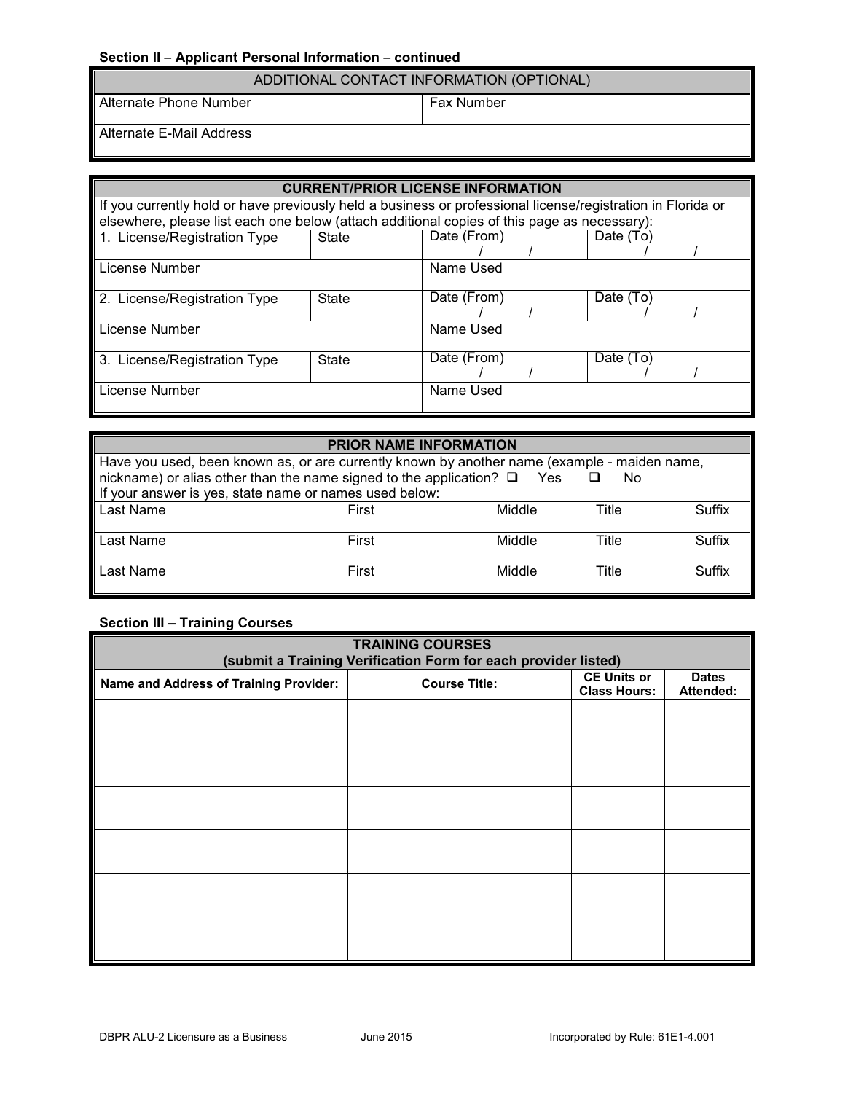# **Section II** – **Applicant Personal Information** – **continued**

| ADDITIONAL CONTACT INFORMATION (OPTIONAL) |
|-------------------------------------------|
|-------------------------------------------|

Alternate Phone Number Fax Number

Alternate E-Mail Address

| <b>CURRENT/PRIOR LICENSE INFORMATION</b>                                                                    |                                                                                             |             |  |           |  |
|-------------------------------------------------------------------------------------------------------------|---------------------------------------------------------------------------------------------|-------------|--|-----------|--|
| If you currently hold or have previously held a business or professional license/registration in Florida or |                                                                                             |             |  |           |  |
|                                                                                                             | elsewhere, please list each one below (attach additional copies of this page as necessary): |             |  |           |  |
| 1. License/Registration Type                                                                                | State                                                                                       | Date (From) |  | Date (To) |  |
|                                                                                                             |                                                                                             |             |  |           |  |
| License Number                                                                                              |                                                                                             | Name Used   |  |           |  |
| 2. License/Registration Type                                                                                | State                                                                                       | Date (From) |  | Date (To) |  |
|                                                                                                             |                                                                                             |             |  |           |  |
| License Number                                                                                              |                                                                                             | Name Used   |  |           |  |
| 3. License/Registration Type                                                                                | <b>State</b>                                                                                | Date (From) |  | Date (To) |  |
|                                                                                                             |                                                                                             |             |  |           |  |
| License Number                                                                                              |                                                                                             | Name Used   |  |           |  |

#### **PRIOR NAME INFORMATION**

| Have you used, been known as, or are currently known by another name (example - maiden name,<br>nickname) or alias other than the name signed to the application? $\square$ Yes<br>No<br>If your answer is yes, state name or names used below: |       |        |       |        |
|-------------------------------------------------------------------------------------------------------------------------------------------------------------------------------------------------------------------------------------------------|-------|--------|-------|--------|
| Last Name                                                                                                                                                                                                                                       | First | Middle | Title | Suffix |
| Last Name                                                                                                                                                                                                                                       | First | Middle | Title | Suffix |
| Last Name                                                                                                                                                                                                                                       | First | Middle | Title | Suffix |

# **Section III – Training Courses**

| <b>TRAINING COURSES</b>                                        |                      |                                           |                           |  |  |
|----------------------------------------------------------------|----------------------|-------------------------------------------|---------------------------|--|--|
| (submit a Training Verification Form for each provider listed) |                      |                                           |                           |  |  |
| Name and Address of Training Provider:                         | <b>Course Title:</b> | <b>CE Units or</b><br><b>Class Hours:</b> | <b>Dates</b><br>Attended: |  |  |
|                                                                |                      |                                           |                           |  |  |
|                                                                |                      |                                           |                           |  |  |
|                                                                |                      |                                           |                           |  |  |
|                                                                |                      |                                           |                           |  |  |
|                                                                |                      |                                           |                           |  |  |
|                                                                |                      |                                           |                           |  |  |
|                                                                |                      |                                           |                           |  |  |
|                                                                |                      |                                           |                           |  |  |
|                                                                |                      |                                           |                           |  |  |
|                                                                |                      |                                           |                           |  |  |
|                                                                |                      |                                           |                           |  |  |
|                                                                |                      |                                           |                           |  |  |
|                                                                |                      |                                           |                           |  |  |
|                                                                |                      |                                           |                           |  |  |
|                                                                |                      |                                           |                           |  |  |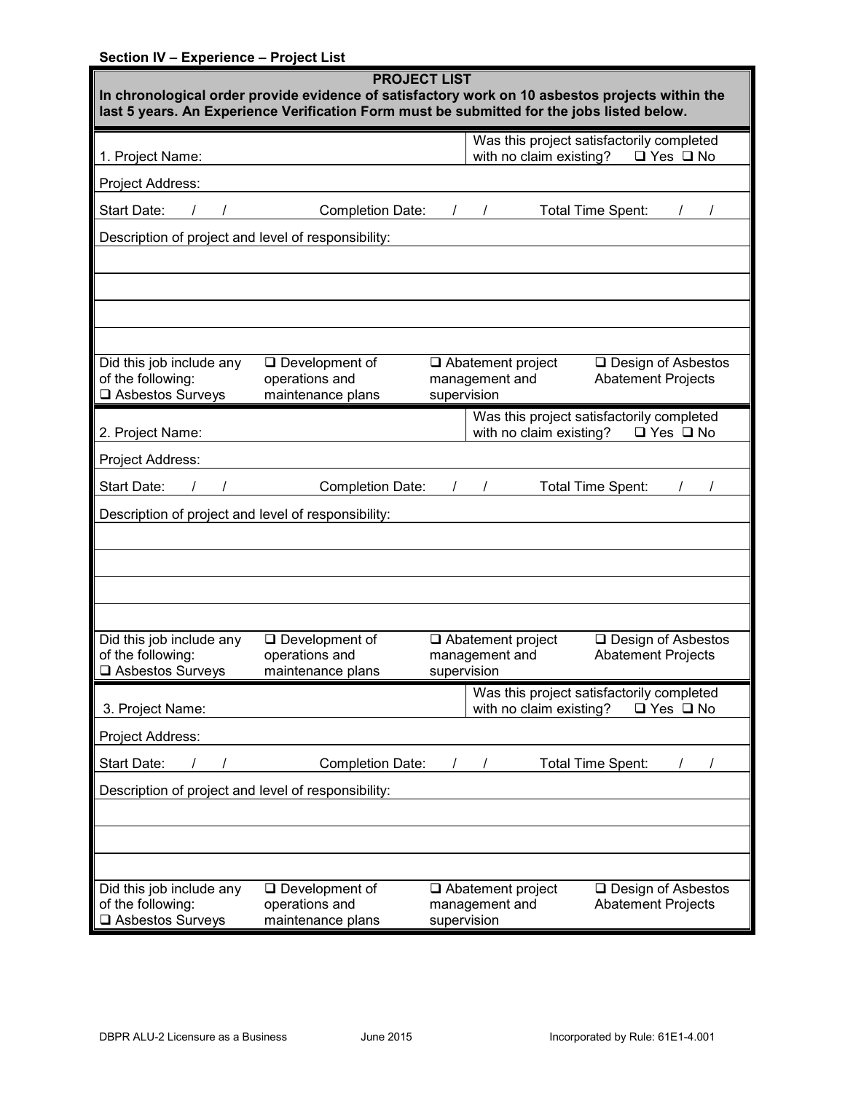# **Section IV – Experience – Project List**

| <b>PROJECT LIST</b><br>In chronological order provide evidence of satisfactory work on 10 asbestos projects within the<br>last 5 years. An Experience Verification Form must be submitted for the jobs listed below. |                                                                 |                                                                                                                |  |  |
|----------------------------------------------------------------------------------------------------------------------------------------------------------------------------------------------------------------------|-----------------------------------------------------------------|----------------------------------------------------------------------------------------------------------------|--|--|
| 1. Project Name:                                                                                                                                                                                                     |                                                                 | Was this project satisfactorily completed<br>with no claim existing?<br>$\Box$ Yes $\Box$ No                   |  |  |
| Project Address:                                                                                                                                                                                                     |                                                                 |                                                                                                                |  |  |
| Start Date:                                                                                                                                                                                                          | Completion Date:                                                | $1 \quad 1$<br>Total Time Spent:                                                                               |  |  |
| Description of project and level of responsibility:                                                                                                                                                                  |                                                                 |                                                                                                                |  |  |
|                                                                                                                                                                                                                      |                                                                 |                                                                                                                |  |  |
|                                                                                                                                                                                                                      |                                                                 |                                                                                                                |  |  |
|                                                                                                                                                                                                                      |                                                                 |                                                                                                                |  |  |
|                                                                                                                                                                                                                      |                                                                 |                                                                                                                |  |  |
| Did this job include any                                                                                                                                                                                             | $\square$ Development of                                        | $\Box$ Abatement project<br>□ Design of Asbestos                                                               |  |  |
| of the following:<br>Asbestos Surveys                                                                                                                                                                                | operations and<br>maintenance plans                             | <b>Abatement Projects</b><br>management and<br>supervision                                                     |  |  |
|                                                                                                                                                                                                                      |                                                                 | Was this project satisfactorily completed                                                                      |  |  |
| 2. Project Name:                                                                                                                                                                                                     |                                                                 | with no claim existing?<br>$\Box$ Yes $\Box$ No                                                                |  |  |
| Project Address:                                                                                                                                                                                                     |                                                                 |                                                                                                                |  |  |
| Start Date:                                                                                                                                                                                                          | <b>Completion Date:</b>                                         | Total Time Spent:<br>$\sqrt{ }$                                                                                |  |  |
| Description of project and level of responsibility:                                                                                                                                                                  |                                                                 |                                                                                                                |  |  |
|                                                                                                                                                                                                                      |                                                                 |                                                                                                                |  |  |
|                                                                                                                                                                                                                      |                                                                 |                                                                                                                |  |  |
|                                                                                                                                                                                                                      |                                                                 |                                                                                                                |  |  |
|                                                                                                                                                                                                                      |                                                                 |                                                                                                                |  |  |
| Did this job include any<br>of the following:                                                                                                                                                                        | $\Box$ Development of<br>operations and                         | $\Box$ Abatement project<br>□ Design of Asbestos<br><b>Abatement Projects</b><br>management and                |  |  |
| □ Asbestos Surveys                                                                                                                                                                                                   | maintenance plans                                               | supervision                                                                                                    |  |  |
| 3. Project Name:                                                                                                                                                                                                     |                                                                 | Was this project satisfactorily completed<br>with no claim existing?<br>$\Box$ Yes $\Box$ No                   |  |  |
| Project Address:                                                                                                                                                                                                     |                                                                 |                                                                                                                |  |  |
| Start Date:                                                                                                                                                                                                          | <b>Completion Date:</b>                                         | Total Time Spent:                                                                                              |  |  |
| Description of project and level of responsibility:                                                                                                                                                                  |                                                                 |                                                                                                                |  |  |
|                                                                                                                                                                                                                      |                                                                 |                                                                                                                |  |  |
|                                                                                                                                                                                                                      |                                                                 |                                                                                                                |  |  |
|                                                                                                                                                                                                                      |                                                                 |                                                                                                                |  |  |
| Did this job include any<br>of the following:<br>□ Asbestos Surveys                                                                                                                                                  | $\square$ Development of<br>operations and<br>maintenance plans | $\Box$ Abatement project<br>□ Design of Asbestos<br>management and<br><b>Abatement Projects</b><br>supervision |  |  |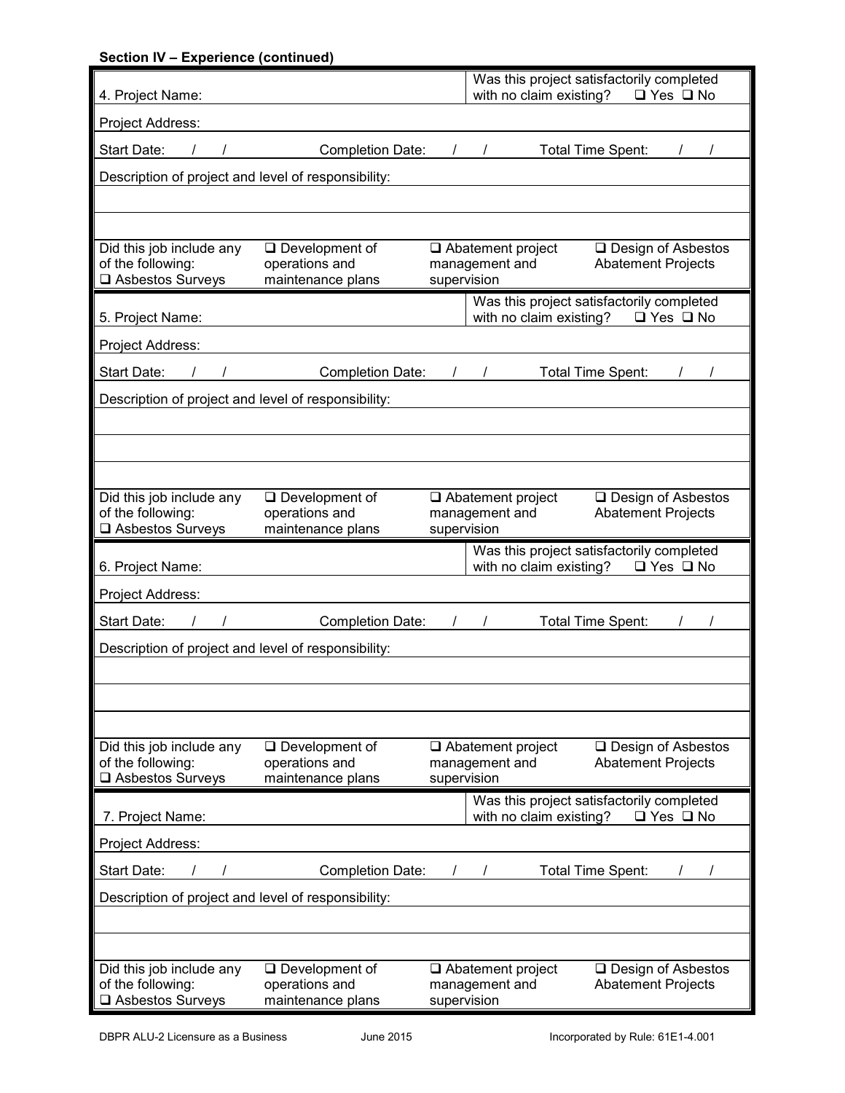| <b>Section IV - Experience (continued)</b>                          |                                                              |             |                                                                      |                   |                                                        |  |
|---------------------------------------------------------------------|--------------------------------------------------------------|-------------|----------------------------------------------------------------------|-------------------|--------------------------------------------------------|--|
| 4. Project Name:                                                    |                                                              |             | Was this project satisfactorily completed<br>with no claim existing? |                   | $\Box$ Yes $\Box$ No                                   |  |
| Project Address:                                                    |                                                              |             |                                                                      |                   |                                                        |  |
| Start Date:                                                         | <b>Completion Date:</b>                                      |             |                                                                      | Total Time Spent: |                                                        |  |
| Description of project and level of responsibility:                 |                                                              |             |                                                                      |                   |                                                        |  |
|                                                                     |                                                              |             |                                                                      |                   |                                                        |  |
| Did this job include any<br>of the following:<br>□ Asbestos Surveys | $\Box$ Development of<br>operations and<br>maintenance plans | supervision | $\Box$ Abatement project<br>management and                           |                   | □ Design of Asbestos<br><b>Abatement Projects</b>      |  |
| 5. Project Name:                                                    |                                                              |             | Was this project satisfactorily completed<br>with no claim existing? |                   | $\Box$ Yes $\Box$ No                                   |  |
| Project Address:                                                    |                                                              |             |                                                                      |                   |                                                        |  |
| Start Date:                                                         | <b>Completion Date:</b>                                      | $\sqrt{2}$  |                                                                      | Total Time Spent: |                                                        |  |
| Description of project and level of responsibility:                 |                                                              |             |                                                                      |                   |                                                        |  |
|                                                                     |                                                              |             |                                                                      |                   |                                                        |  |
|                                                                     |                                                              |             |                                                                      |                   |                                                        |  |
|                                                                     |                                                              |             |                                                                      |                   |                                                        |  |
| Did this job include any<br>of the following:                       | $\Box$ Development of<br>operations and                      |             | $\Box$ Abatement project<br>management and                           |                   | □ Design of Asbestos<br><b>Abatement Projects</b>      |  |
| □ Asbestos Surveys                                                  | maintenance plans                                            |             |                                                                      |                   |                                                        |  |
|                                                                     |                                                              | supervision |                                                                      |                   |                                                        |  |
| 6. Project Name:                                                    |                                                              |             | Was this project satisfactorily completed<br>with no claim existing? |                   | $\Box$ Yes $\Box$ No                                   |  |
| Project Address:                                                    |                                                              |             |                                                                      |                   |                                                        |  |
| Start Date:                                                         | <b>Completion Date:</b>                                      |             |                                                                      | Total Time Spent: |                                                        |  |
| Description of project and level of responsibility:                 |                                                              |             |                                                                      |                   |                                                        |  |
|                                                                     |                                                              |             |                                                                      |                   |                                                        |  |
|                                                                     |                                                              |             |                                                                      |                   |                                                        |  |
|                                                                     |                                                              |             |                                                                      |                   |                                                        |  |
| Did this job include any                                            | $\square$ Development of                                     |             | $\Box$ Abatement project                                             |                   | □ Design of Asbestos                                   |  |
| of the following:<br>□ Asbestos Surveys                             | operations and<br>maintenance plans                          | supervision | management and                                                       |                   | <b>Abatement Projects</b>                              |  |
| 7. Project Name:                                                    |                                                              |             | Was this project satisfactorily completed<br>with no claim existing? |                   | $\Box$ Yes $\Box$ No                                   |  |
| Project Address:                                                    |                                                              |             |                                                                      |                   |                                                        |  |
| Start Date:                                                         | <b>Completion Date:</b>                                      |             |                                                                      | Total Time Spent: |                                                        |  |
| Description of project and level of responsibility:                 |                                                              |             |                                                                      |                   |                                                        |  |
|                                                                     |                                                              |             |                                                                      |                   |                                                        |  |
|                                                                     |                                                              |             |                                                                      |                   |                                                        |  |
| Did this job include any<br>of the following:<br>□ Asbestos Surveys | $\Box$ Development of<br>operations and<br>maintenance plans | supervision | $\Box$ Abatement project<br>management and                           |                   | $\Box$ Design of Asbestos<br><b>Abatement Projects</b> |  |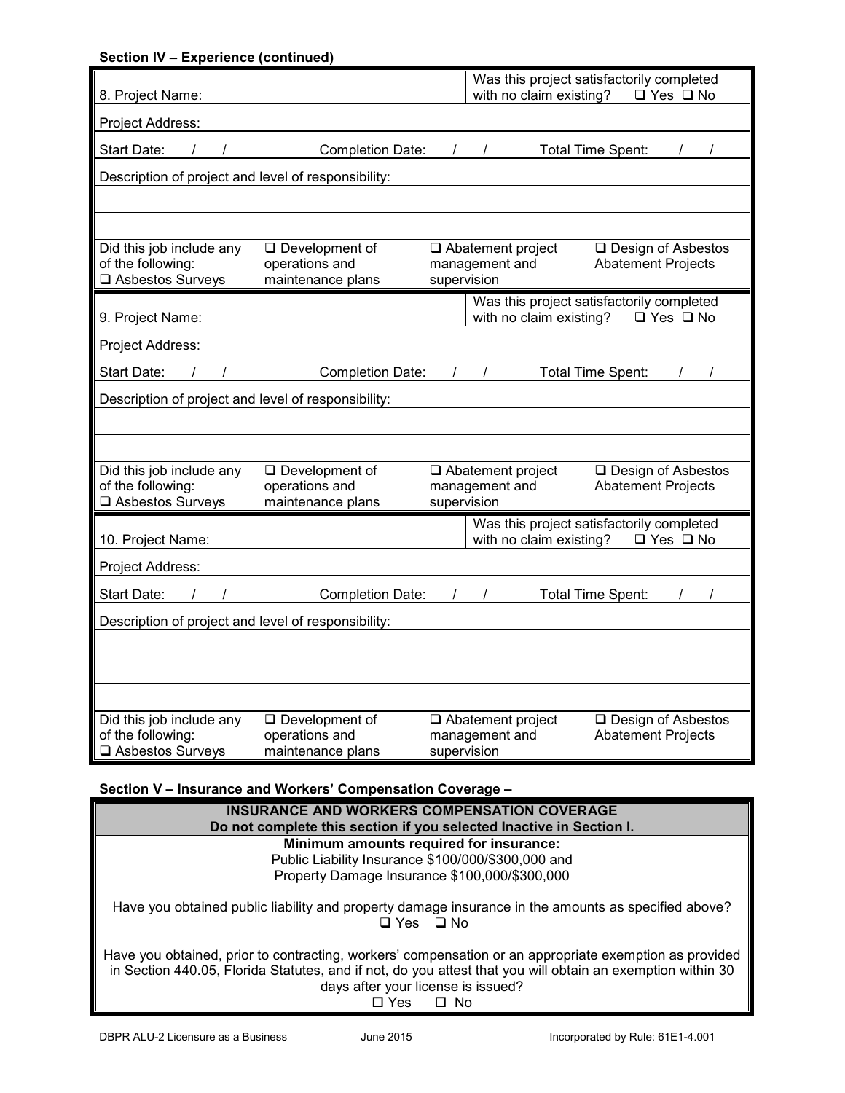| Section IV - Experience (continued)                 |                                         |                                                                                                 |
|-----------------------------------------------------|-----------------------------------------|-------------------------------------------------------------------------------------------------|
| 8. Project Name:                                    |                                         | Was this project satisfactorily completed<br>with no claim existing? $\Box$ Yes $\Box$ No       |
| Project Address:                                    |                                         |                                                                                                 |
|                                                     |                                         |                                                                                                 |
| Start Date:                                         |                                         | Completion Date: / /<br>Total Time Spent:                                                       |
| Description of project and level of responsibility: |                                         |                                                                                                 |
|                                                     |                                         |                                                                                                 |
|                                                     |                                         |                                                                                                 |
| Did this job include any<br>of the following:       | $\Box$ Development of<br>operations and | □ Design of Asbestos<br>$\Box$ Abatement project<br>management and<br><b>Abatement Projects</b> |
| □ Asbestos Surveys                                  | maintenance plans                       | supervision                                                                                     |
|                                                     |                                         | Was this project satisfactorily completed                                                       |
| 9. Project Name:                                    |                                         | with no claim existing?<br>$\Box$ Yes $\Box$ No                                                 |
| Project Address:                                    |                                         |                                                                                                 |
| Start Date:                                         | Completion Date: / /                    | <b>Total Time Spent:</b>                                                                        |
| Description of project and level of responsibility: |                                         |                                                                                                 |
|                                                     |                                         |                                                                                                 |
|                                                     |                                         |                                                                                                 |
| Did this job include any                            | $\Box$ Development of                   | Abatement project<br>□ Design of Asbestos                                                       |
| of the following:<br>□ Asbestos Surveys             | operations and<br>maintenance plans     | management and<br><b>Abatement Projects</b><br>supervision                                      |
|                                                     |                                         | Was this project satisfactorily completed                                                       |
| 10. Project Name:                                   |                                         | with no claim existing?<br>$\Box$ Yes $\Box$ No                                                 |
| Project Address:                                    |                                         |                                                                                                 |
| Start Date:                                         | Completion Date: / /                    | Total Time Spent:                                                                               |
| Description of project and level of responsibility: |                                         |                                                                                                 |
|                                                     |                                         |                                                                                                 |
|                                                     |                                         |                                                                                                 |
|                                                     |                                         |                                                                                                 |
| Did this job include any                            | $\Box$ Development of                   | □ Abatement project<br>□ Design of Asbestos                                                     |
| of the following:<br>□ Asbestos Surveys             | operations and<br>maintenance plans     | management and<br><b>Abatement Projects</b><br>supervision                                      |

## **Section V – Insurance and Workers' Compensation Coverage –**

| <b>INSURANCE AND WORKERS COMPENSATION COVERAGE</b><br>Do not complete this section if you selected Inactive in Section I.                                                                                                                                                      |
|--------------------------------------------------------------------------------------------------------------------------------------------------------------------------------------------------------------------------------------------------------------------------------|
| Minimum amounts required for insurance:                                                                                                                                                                                                                                        |
| Public Liability Insurance \$100/000/\$300,000 and                                                                                                                                                                                                                             |
| Property Damage Insurance \$100,000/\$300,000                                                                                                                                                                                                                                  |
| Have you obtained public liability and property damage insurance in the amounts as specified above?<br>□ Yes □ No                                                                                                                                                              |
| Have you obtained, prior to contracting, workers' compensation or an appropriate exemption as provided<br>in Section 440.05, Florida Statutes, and if not, do you attest that you will obtain an exemption within 30<br>days after your license is issued?<br>Yes<br>$\Box$ No |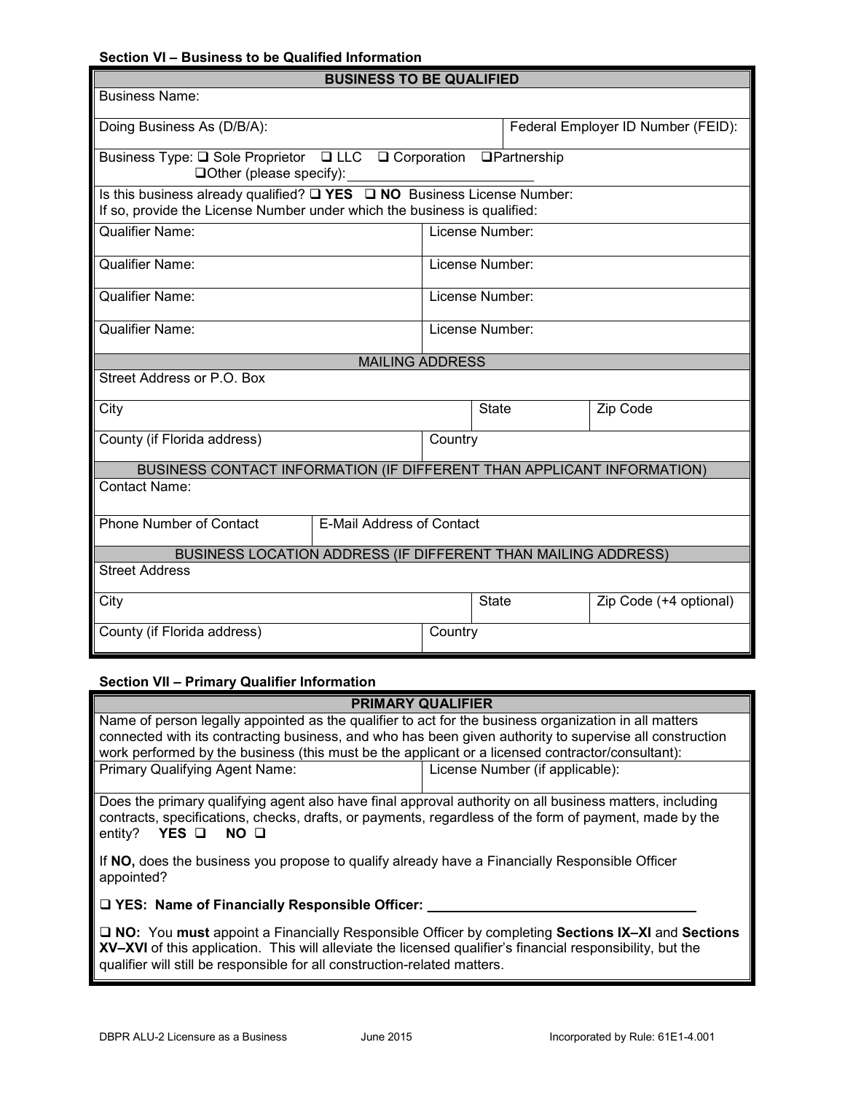## **Section VI – Business to be Qualified Information**

| <b>BUSINESS TO BE QUALIFIED</b>                                                                                                                               |         |                 |                                    |  |
|---------------------------------------------------------------------------------------------------------------------------------------------------------------|---------|-----------------|------------------------------------|--|
| <b>Business Name:</b>                                                                                                                                         |         |                 |                                    |  |
| Doing Business As (D/B/A):                                                                                                                                    |         |                 | Federal Employer ID Number (FEID): |  |
| Business Type: Q Sole Proprietor Q LLC Q Corporation Q Partnership<br>$\Box$ Other (please specify):                                                          |         |                 |                                    |  |
| Is this business already qualified? $\Box$ YES $\Box$ NO Business License Number:<br>If so, provide the License Number under which the business is qualified: |         |                 |                                    |  |
| <b>Qualifier Name:</b>                                                                                                                                        |         | License Number: |                                    |  |
| <b>Qualifier Name:</b>                                                                                                                                        |         | License Number: |                                    |  |
| <b>Qualifier Name:</b>                                                                                                                                        |         | License Number: |                                    |  |
| <b>Qualifier Name:</b>                                                                                                                                        |         | License Number: |                                    |  |
| <b>MAILING ADDRESS</b>                                                                                                                                        |         |                 |                                    |  |
| Street Address or P.O. Box                                                                                                                                    |         |                 |                                    |  |
| City                                                                                                                                                          |         | <b>State</b>    | Zip Code                           |  |
| County (if Florida address)                                                                                                                                   | Country |                 |                                    |  |
| BUSINESS CONTACT INFORMATION (IF DIFFERENT THAN APPLICANT INFORMATION)                                                                                        |         |                 |                                    |  |
| Contact Name:                                                                                                                                                 |         |                 |                                    |  |
| Phone Number of Contact<br>E-Mail Address of Contact                                                                                                          |         |                 |                                    |  |
| BUSINESS LOCATION ADDRESS (IF DIFFERENT THAN MAILING ADDRESS)                                                                                                 |         |                 |                                    |  |
| <b>Street Address</b>                                                                                                                                         |         |                 |                                    |  |
| City                                                                                                                                                          |         | <b>State</b>    | Zip Code (+4 optional)             |  |
| County (if Florida address)                                                                                                                                   | Country |                 |                                    |  |

## **Section VII – Primary Qualifier Information**

| <b>PRIMARY QUALIFIER</b>                                                                                                                                                                                                                                 |                                 |  |  |  |
|----------------------------------------------------------------------------------------------------------------------------------------------------------------------------------------------------------------------------------------------------------|---------------------------------|--|--|--|
| Name of person legally appointed as the qualifier to act for the business organization in all matters                                                                                                                                                    |                                 |  |  |  |
| connected with its contracting business, and who has been given authority to supervise all construction                                                                                                                                                  |                                 |  |  |  |
| work performed by the business (this must be the applicant or a licensed contractor/consultant):                                                                                                                                                         |                                 |  |  |  |
| <b>Primary Qualifying Agent Name:</b>                                                                                                                                                                                                                    | License Number (if applicable): |  |  |  |
|                                                                                                                                                                                                                                                          |                                 |  |  |  |
| Does the primary qualifying agent also have final approval authority on all business matters, including<br>contracts, specifications, checks, drafts, or payments, regardless of the form of payment, made by the<br>YES O<br>entity?<br>NO <sub>Q</sub> |                                 |  |  |  |
| If NO, does the business you propose to qualify already have a Financially Responsible Officer<br>appointed?                                                                                                                                             |                                 |  |  |  |
| □ YES: Name of Financially Responsible Officer:                                                                                                                                                                                                          |                                 |  |  |  |
| □ NO: You must appoint a Financially Responsible Officer by completing Sections IX-XI and Sections<br>XV-XVI of this application. This will alloviate the licensed qualifier's financial responsibility, but the                                         |                                 |  |  |  |

**XV–XVI** of this application. This will alleviate the licensed qualifier's financial responsibility, but the qualifier will still be responsible for all construction-related matters.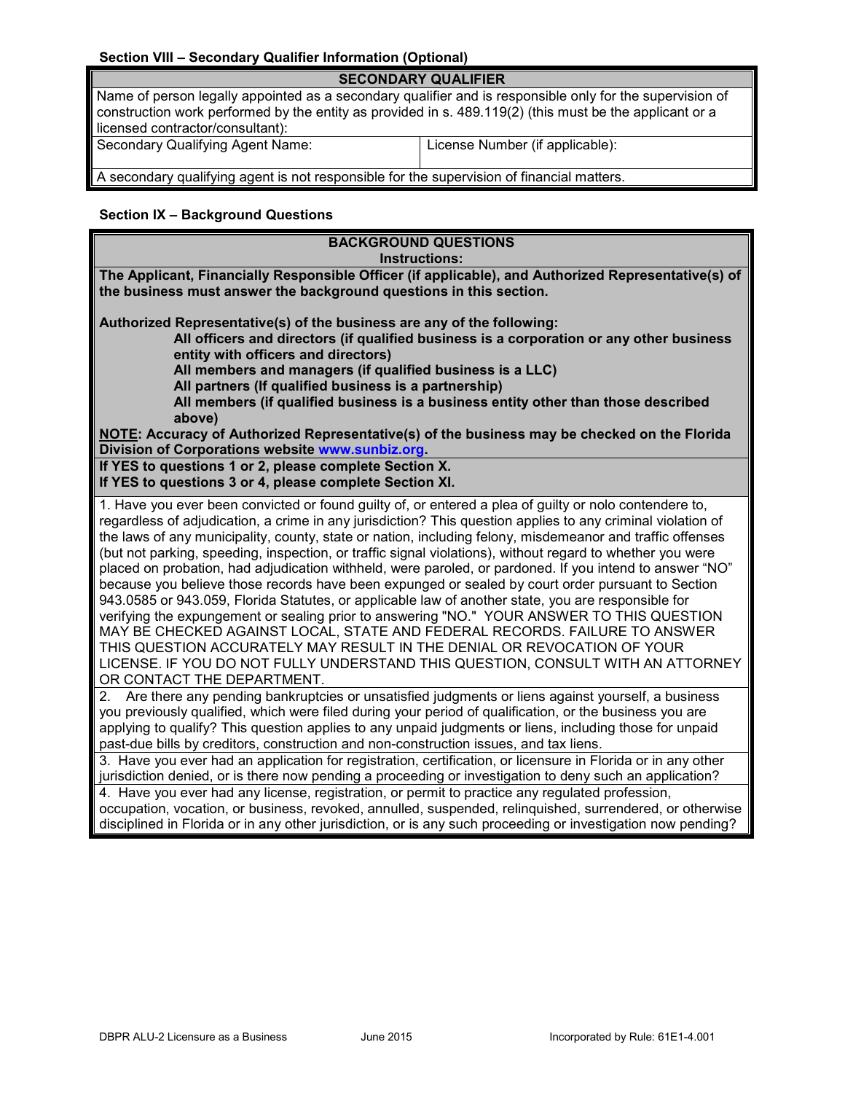# **Section VIII – Secondary Qualifier Information (Optional)**

| <b>SECONDARY QUALIFIER</b>                                                                                                                                                                                                                              |                                 |  |  |  |
|---------------------------------------------------------------------------------------------------------------------------------------------------------------------------------------------------------------------------------------------------------|---------------------------------|--|--|--|
| Name of person legally appointed as a secondary qualifier and is responsible only for the supervision of<br>construction work performed by the entity as provided in s. 489.119(2) (this must be the applicant or a<br>licensed contractor/consultant): |                                 |  |  |  |
| Secondary Qualifying Agent Name:                                                                                                                                                                                                                        | License Number (if applicable): |  |  |  |
| A secondary qualifying agent is not responsible for the supervision of financial matters.                                                                                                                                                               |                                 |  |  |  |

# **Section IX – Background Questions**

| <b>BACKGROUND QUESTIONS</b>                                                                                                                                                                                              |
|--------------------------------------------------------------------------------------------------------------------------------------------------------------------------------------------------------------------------|
| <b>Instructions:</b>                                                                                                                                                                                                     |
| The Applicant, Financially Responsible Officer (if applicable), and Authorized Representative(s) of<br>the business must answer the background questions in this section.                                                |
| Authorized Representative(s) of the business are any of the following:                                                                                                                                                   |
| All officers and directors (if qualified business is a corporation or any other business                                                                                                                                 |
| entity with officers and directors)                                                                                                                                                                                      |
| All members and managers (if qualified business is a LLC)                                                                                                                                                                |
| All partners (If qualified business is a partnership)                                                                                                                                                                    |
| All members (if qualified business is a business entity other than those described                                                                                                                                       |
| above)                                                                                                                                                                                                                   |
| NOTE: Accuracy of Authorized Representative(s) of the business may be checked on the Florida                                                                                                                             |
| Division of Corporations website www.sunbiz.org.                                                                                                                                                                         |
| If YES to questions 1 or 2, please complete Section X.<br>If YES to questions 3 or 4, please complete Section XI.                                                                                                        |
|                                                                                                                                                                                                                          |
| 1. Have you ever been convicted or found guilty of, or entered a plea of guilty or nolo contendere to,                                                                                                                   |
| regardless of adjudication, a crime in any jurisdiction? This question applies to any criminal violation of<br>the laws of any municipality, county, state or nation, including felony, misdemeanor and traffic offenses |
| (but not parking, speeding, inspection, or traffic signal violations), without regard to whether you were                                                                                                                |
| placed on probation, had adjudication withheld, were paroled, or pardoned. If you intend to answer "NO"                                                                                                                  |
| because you believe those records have been expunged or sealed by court order pursuant to Section                                                                                                                        |
| 943.0585 or 943.059, Florida Statutes, or applicable law of another state, you are responsible for                                                                                                                       |
| verifying the expungement or sealing prior to answering "NO." YOUR ANSWER TO THIS QUESTION                                                                                                                               |
| MAY BE CHECKED AGAINST LOCAL, STATE AND FEDERAL RECORDS. FAILURE TO ANSWER                                                                                                                                               |
| THIS QUESTION ACCURATELY MAY RESULT IN THE DENIAL OR REVOCATION OF YOUR                                                                                                                                                  |
| LICENSE. IF YOU DO NOT FULLY UNDERSTAND THIS QUESTION, CONSULT WITH AN ATTORNEY                                                                                                                                          |
| OR CONTACT THE DEPARTMENT.                                                                                                                                                                                               |
| Are there any pending bankruptcies or unsatisfied judgments or liens against yourself, a business<br>2.                                                                                                                  |
| you previously qualified, which were filed during your period of qualification, or the business you are                                                                                                                  |
| applying to qualify? This question applies to any unpaid judgments or liens, including those for unpaid                                                                                                                  |
| past-due bills by creditors, construction and non-construction issues, and tax liens.                                                                                                                                    |
| 3. Have you ever had an application for registration, certification, or licensure in Florida or in any other                                                                                                             |
| jurisdiction denied, or is there now pending a proceeding or investigation to deny such an application?                                                                                                                  |
| 4. Have you ever had any license, registration, or permit to practice any regulated profession,                                                                                                                          |
| occupation, vocation, or business, revoked, annulled, suspended, relinquished, surrendered, or otherwise<br>disciplined in Florida or in any other jurisdiction, or is any such proceeding or investigation now pending? |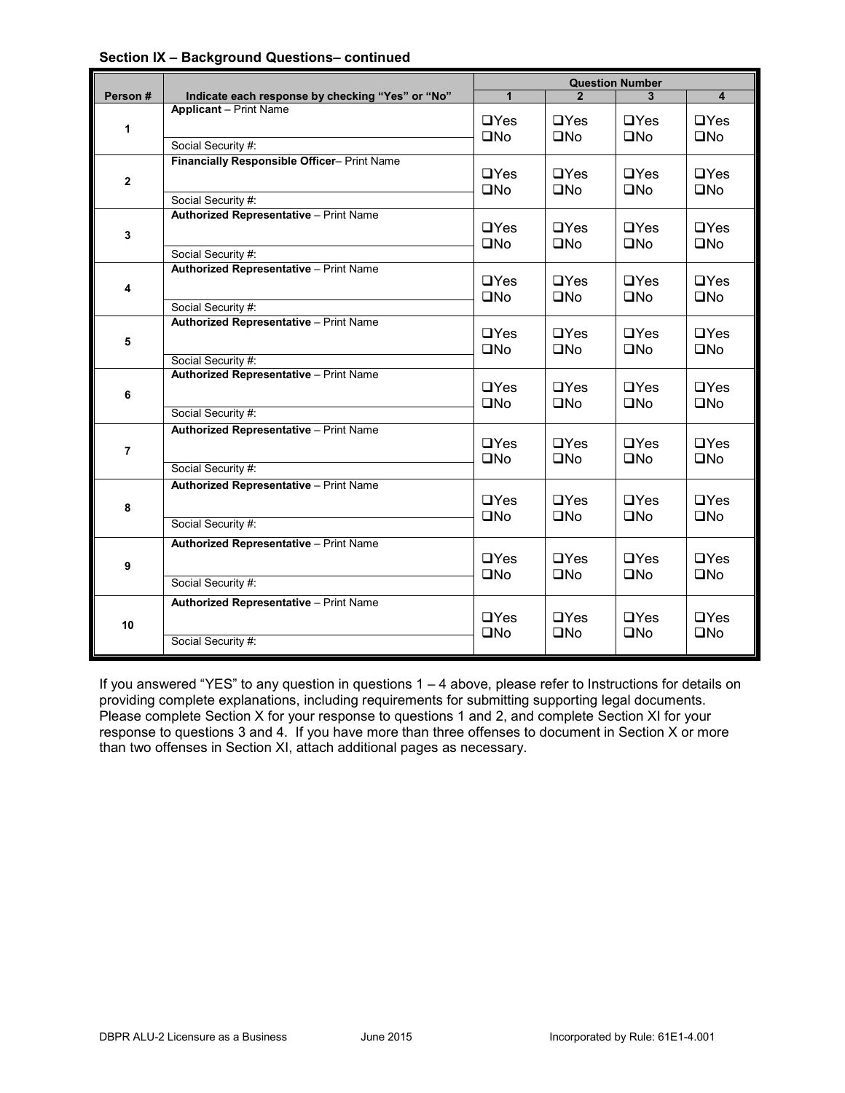|                |                                                  | <b>Question Number</b> |              |              |                         |
|----------------|--------------------------------------------------|------------------------|--------------|--------------|-------------------------|
| Person#        | Indicate each response by checking "Yes" or "No" | $\mathbf{1}$           |              |              | $\overline{\mathbf{4}}$ |
| 1              | <b>Applicant</b> - Print Name                    | $\Box$ Yes             | $\Box$ Yes   | $\Box$ Yes   | $\Box$ Yes              |
|                | Social Security #:                               | $\square$ No           | $\square$ No | $\square$ No | $\square$ No            |
| $\mathbf{2}$   | Financially Responsible Officer- Print Name      | $\Box$ Yes             | $\Box$ Yes   | $\Box$ Yes   | $\Box$ Yes              |
|                | Social Security #:                               | $\square$ No           | $\square$ No | $\square$ No | $\square$ No            |
| 3              | <b>Authorized Representative - Print Name</b>    | $\Box$ Yes             | $\Box$ Yes   | $\Box$ Yes   | $\Box$ Yes              |
|                | Social Security #:                               | $\square$ No           | $\square$ No | $\square$ No | $\square$ No            |
| 4              | Authorized Representative - Print Name           | $\Box$ Yes             | $\Box$ Yes   | $\Box$ Yes   | $\Box$ Yes              |
|                | Social Security #:                               | $\square$ No           | $\square$ No | $\square$ No | $\square$ No            |
| 5              | Authorized Representative - Print Name           | $\Box$ Yes             | $\Box$ Yes   | $\Box$ Yes   | $\Box$ Yes              |
|                | Social Security #:                               | $\square$ No           | $\square$ No | $\square$ No | $\square$ No            |
| 6              | Authorized Representative - Print Name           | $\Box$ Yes             | $\Box$ Yes   | $\Box$ Yes   | $\Box$ Yes              |
|                | Social Security #:                               | $\square$ No           | $\square$ No | $\square$ No | $\square$ No            |
| $\overline{7}$ | Authorized Representative - Print Name           | $\Box$ Yes             | $\Box$ Yes   | $\Box$ Yes   | $\Box$ Yes              |
|                | Social Security #:                               | $\square$ No           | $\square$ No | $\square$ No | $\square$ No            |
| 8              | Authorized Representative - Print Name           | $\Box$ Yes             | $\Box$ Yes   | $\Box$ Yes   | $\Box$ Yes              |
|                | Social Security #:                               | $\square$ No           | $\square$ No | $\square$ No | $\square$ No            |
| 9              | Authorized Representative - Print Name           | $\Box$ Yes             | $\Box$ Yes   | $\Box$ Yes   | $\Box$ Yes              |
|                | Social Security #:                               | $\square$ No           | $\square$ No | $\square$ No | $\square$ No            |
| 10             | Authorized Representative - Print Name           | $\Box$ Yes             | $\Box$ Yes   | $\Box$ Yes   | $\Box$ Yes              |
|                | Social Security #:                               | $\square$ No           | $\square$ No | $\square$ No | $\square$ No            |

#### **Section IX – Background Questions– continued**

If you answered "YES" to any question in questions 1 – 4 above, please refer to Instructions for details on providing complete explanations, including requirements for submitting supporting legal documents. Please complete Section X for your response to questions 1 and 2, and complete Section XI for your response to questions 3 and 4. If you have more than three offenses to document in Section X or more than two offenses in Section XI, attach additional pages as necessary.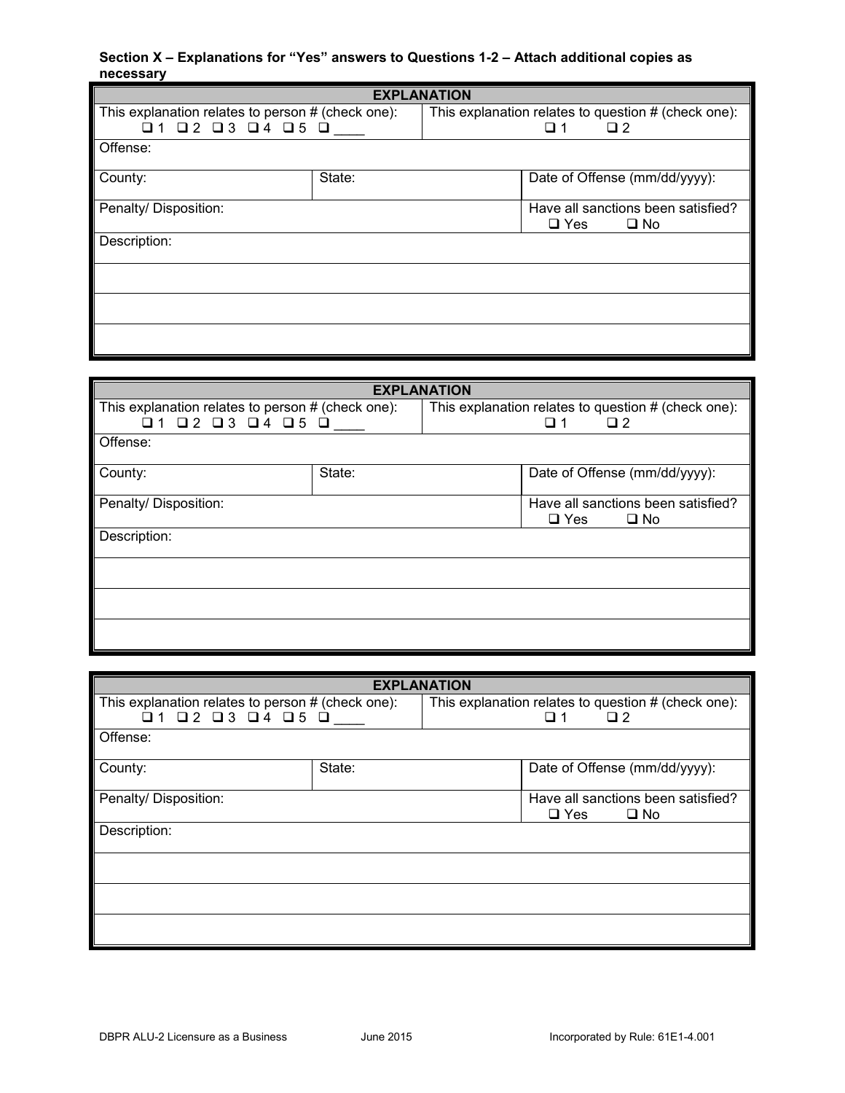## **Section X – Explanations for "Yes" answers to Questions 1-2 – Attach additional copies as necessary**

| <b>EXPLANATION</b>                                |        |                                                                  |  |                               |
|---------------------------------------------------|--------|------------------------------------------------------------------|--|-------------------------------|
| This explanation relates to person # (check one): |        | This explanation relates to question # (check one):              |  |                               |
| $Q1$ $Q2$ $Q3$ $Q4$ $Q5$ $Q$                      |        | $\Box$<br>∩ 1                                                    |  |                               |
| Offense:                                          |        |                                                                  |  |                               |
| County:                                           | State: |                                                                  |  | Date of Offense (mm/dd/yyyy): |
| Penalty/ Disposition:                             |        | Have all sanctions been satisfied?<br>$\Box$ Yes<br>$\square$ No |  |                               |
| Description:                                      |        |                                                                  |  |                               |
|                                                   |        |                                                                  |  |                               |
|                                                   |        |                                                                  |  |                               |
|                                                   |        |                                                                  |  |                               |

| <b>EXPLANATION</b>                                                                                       |        |                                                                           |            |                                                    |
|----------------------------------------------------------------------------------------------------------|--------|---------------------------------------------------------------------------|------------|----------------------------------------------------|
| This explanation relates to person # (check one):<br>$\Box$ 1 $\Box$ 2 $\Box$ 3 $\Box$ 4 $\Box$ 5 $\Box$ |        | This explanation relates to question # (check one):<br>$\Box$ 1<br>$\Box$ |            |                                                    |
| Offense:                                                                                                 |        |                                                                           |            |                                                    |
| County:                                                                                                  | State: |                                                                           |            | Date of Offense (mm/dd/yyyy):                      |
| Penalty/ Disposition:                                                                                    |        |                                                                           | $\Box$ Yes | Have all sanctions been satisfied?<br>$\square$ No |
| Description:                                                                                             |        |                                                                           |            |                                                    |
|                                                                                                          |        |                                                                           |            |                                                    |
|                                                                                                          |        |                                                                           |            |                                                    |
|                                                                                                          |        |                                                                           |            |                                                    |

| <b>EXPLANATION</b>                                |        |                                                     |                                                  |              |
|---------------------------------------------------|--------|-----------------------------------------------------|--------------------------------------------------|--------------|
| This explanation relates to person # (check one): |        | This explanation relates to question # (check one): |                                                  |              |
| $01$ $02$ $03$ $04$ $05$ $0$                      |        |                                                     | $\Box$<br>□ 1                                    |              |
| Offense:                                          |        |                                                     |                                                  |              |
| County:                                           | State: |                                                     | Date of Offense (mm/dd/yyyy):                    |              |
| Penalty/ Disposition:                             |        |                                                     | Have all sanctions been satisfied?<br>$\Box$ Yes | $\square$ No |
| Description:                                      |        |                                                     |                                                  |              |
|                                                   |        |                                                     |                                                  |              |
|                                                   |        |                                                     |                                                  |              |
|                                                   |        |                                                     |                                                  |              |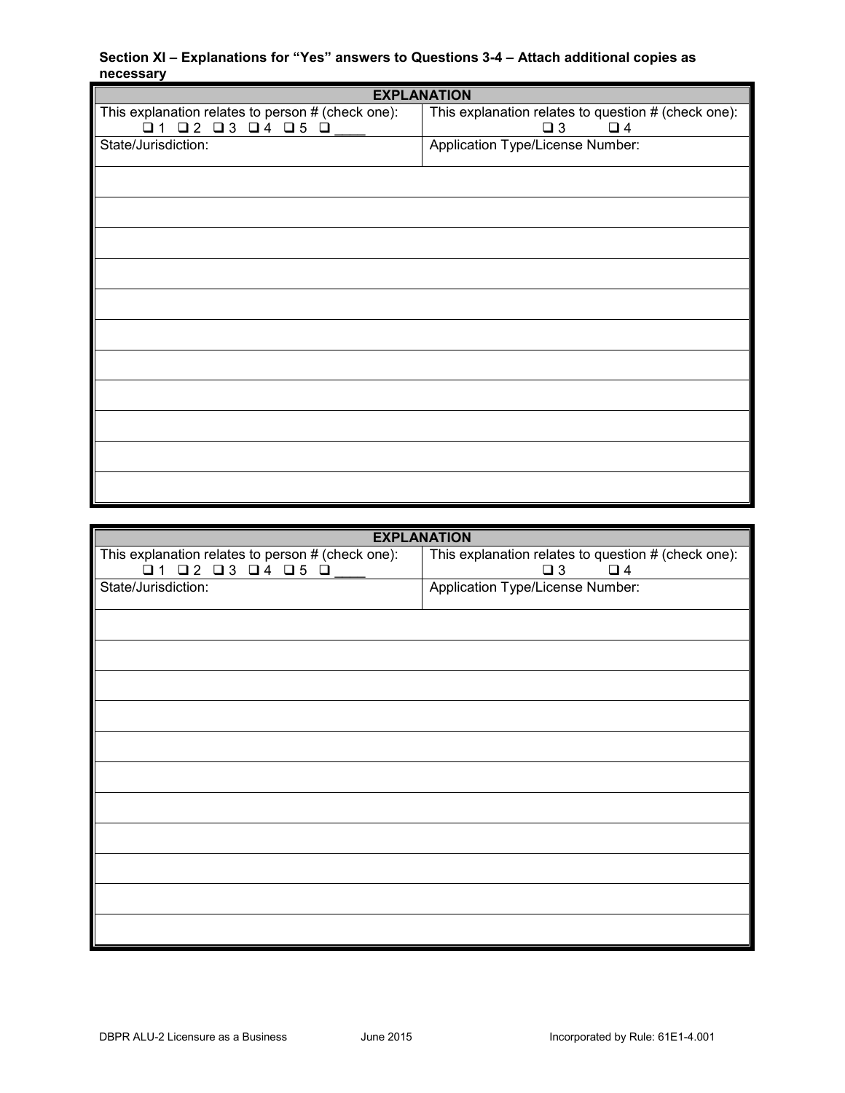## **Section XI – Explanations for "Yes" answers to Questions 3-4 – Attach additional copies as necessary**

| <b>EXPLANATION</b>                                  |                                                     |  |  |  |
|-----------------------------------------------------|-----------------------------------------------------|--|--|--|
| This explanation relates to person # (check one):   | This explanation relates to question # (check one): |  |  |  |
| $\Box$ 1 $\Box$ 2 $\Box$ 3 $\Box$ 4 $\Box$ 5 $\Box$ | $\square$ 3<br>$\Box$ 4                             |  |  |  |
| State/Jurisdiction:                                 | Application Type/License Number:                    |  |  |  |
|                                                     |                                                     |  |  |  |
|                                                     |                                                     |  |  |  |
|                                                     |                                                     |  |  |  |
|                                                     |                                                     |  |  |  |
|                                                     |                                                     |  |  |  |
|                                                     |                                                     |  |  |  |
|                                                     |                                                     |  |  |  |
|                                                     |                                                     |  |  |  |
|                                                     |                                                     |  |  |  |
|                                                     |                                                     |  |  |  |
|                                                     |                                                     |  |  |  |
|                                                     |                                                     |  |  |  |
|                                                     |                                                     |  |  |  |
|                                                     |                                                     |  |  |  |
|                                                     |                                                     |  |  |  |
|                                                     |                                                     |  |  |  |
|                                                     |                                                     |  |  |  |

| <b>EXPLANATION</b>                                  |
|-----------------------------------------------------|
| This explanation relates to question # (check one): |
| $\Box$ 4<br>$\Box$ 3                                |
| Application Type/License Number:                    |
|                                                     |
|                                                     |
|                                                     |
|                                                     |
|                                                     |
|                                                     |
|                                                     |
|                                                     |
|                                                     |
|                                                     |
|                                                     |
|                                                     |
|                                                     |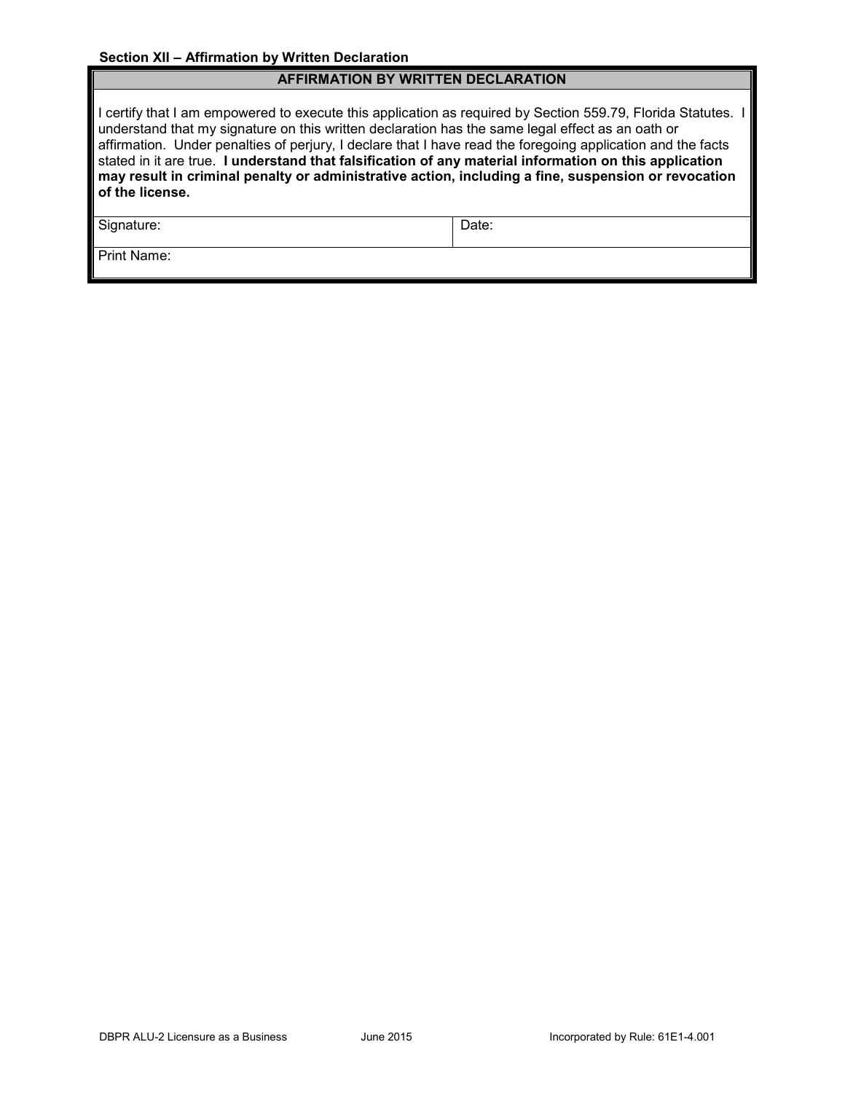## **AFFIRMATION BY WRITTEN DECLARATION**

I certify that I am empowered to execute this application as required by Section 559.79, Florida Statutes. I understand that my signature on this written declaration has the same legal effect as an oath or affirmation. Under penalties of perjury, I declare that I have read the foregoing application and the facts stated in it are true. **I understand that falsification of any material information on this application may result in criminal penalty or administrative action, including a fine, suspension or revocation of the license.**

Signature: Date:

Print Name: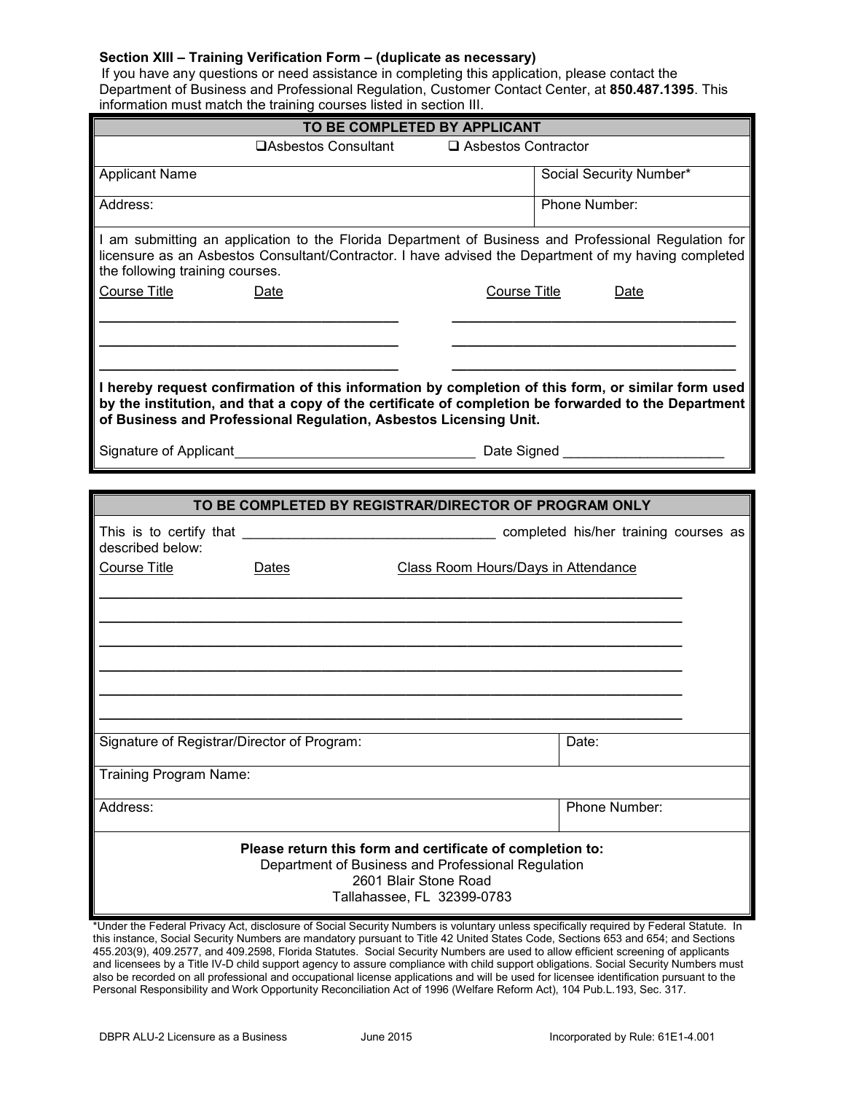#### **Section XIII – Training Verification Form – (duplicate as necessary)**

 If you have any questions or need assistance in completing this application, please contact the Department of Business and Professional Regulation, Customer Contact Center, at **850.487.1395**. This information must match the training courses listed in section III.

| information must match the training courses listed in section III. |                                                                   |                                                                                                                                                                                                              |  |  |  |
|--------------------------------------------------------------------|-------------------------------------------------------------------|--------------------------------------------------------------------------------------------------------------------------------------------------------------------------------------------------------------|--|--|--|
| TO BE COMPLETED BY APPLICANT                                       |                                                                   |                                                                                                                                                                                                              |  |  |  |
|                                                                    | <b>□Asbestos Consultant</b>                                       | □ Asbestos Contractor                                                                                                                                                                                        |  |  |  |
| <b>Applicant Name</b>                                              |                                                                   | Social Security Number*                                                                                                                                                                                      |  |  |  |
| Address:                                                           |                                                                   | Phone Number:                                                                                                                                                                                                |  |  |  |
| the following training courses.                                    |                                                                   | I am submitting an application to the Florida Department of Business and Professional Regulation for<br>licensure as an Asbestos Consultant/Contractor. I have advised the Department of my having completed |  |  |  |
| Course Title                                                       | Date                                                              | <b>Course Title</b><br>Date                                                                                                                                                                                  |  |  |  |
|                                                                    |                                                                   |                                                                                                                                                                                                              |  |  |  |
|                                                                    |                                                                   |                                                                                                                                                                                                              |  |  |  |
|                                                                    | of Business and Professional Regulation, Asbestos Licensing Unit. | I hereby request confirmation of this information by completion of this form, or similar form used<br>by the institution, and that a copy of the certificate of completion be forwarded to the Department    |  |  |  |
|                                                                    |                                                                   | Date Signed                                                                                                                                                                                                  |  |  |  |
|                                                                    |                                                                   |                                                                                                                                                                                                              |  |  |  |
|                                                                    |                                                                   | TO BE COMPLETED BY REGISTRAR/DIRECTOR OF PROGRAM ONLY                                                                                                                                                        |  |  |  |
| described below:                                                   |                                                                   |                                                                                                                                                                                                              |  |  |  |
| <b>Course Title</b>                                                | Dates                                                             | <b>Class Room Hours/Days in Attendance</b>                                                                                                                                                                   |  |  |  |
|                                                                    |                                                                   |                                                                                                                                                                                                              |  |  |  |
|                                                                    |                                                                   |                                                                                                                                                                                                              |  |  |  |
|                                                                    |                                                                   |                                                                                                                                                                                                              |  |  |  |
|                                                                    |                                                                   |                                                                                                                                                                                                              |  |  |  |
|                                                                    |                                                                   |                                                                                                                                                                                                              |  |  |  |
| Signature of Registrar/Director of Program:                        |                                                                   | Date:                                                                                                                                                                                                        |  |  |  |
| <b>Training Program Name:</b>                                      |                                                                   |                                                                                                                                                                                                              |  |  |  |
| Address:                                                           |                                                                   | Phone Number:                                                                                                                                                                                                |  |  |  |
|                                                                    |                                                                   |                                                                                                                                                                                                              |  |  |  |

#### **Please return this form and certificate of completion to:** Department of Business and Professional Regulation 2601 Blair Stone Road Tallahassee, FL 32399-0783

\*Under the Federal Privacy Act, disclosure of Social Security Numbers is voluntary unless specifically required by Federal Statute. In this instance, Social Security Numbers are mandatory pursuant to Title 42 United States Code, Sections 653 and 654; and Sections 455.203(9), 409.2577, and 409.2598, Florida Statutes. Social Security Numbers are used to allow efficient screening of applicants and licensees by a Title IV-D child support agency to assure compliance with child support obligations. Social Security Numbers must also be recorded on all professional and occupational license applications and will be used for licensee identification pursuant to the Personal Responsibility and Work Opportunity Reconciliation Act of 1996 (Welfare Reform Act), 104 Pub.L.193, Sec. 317.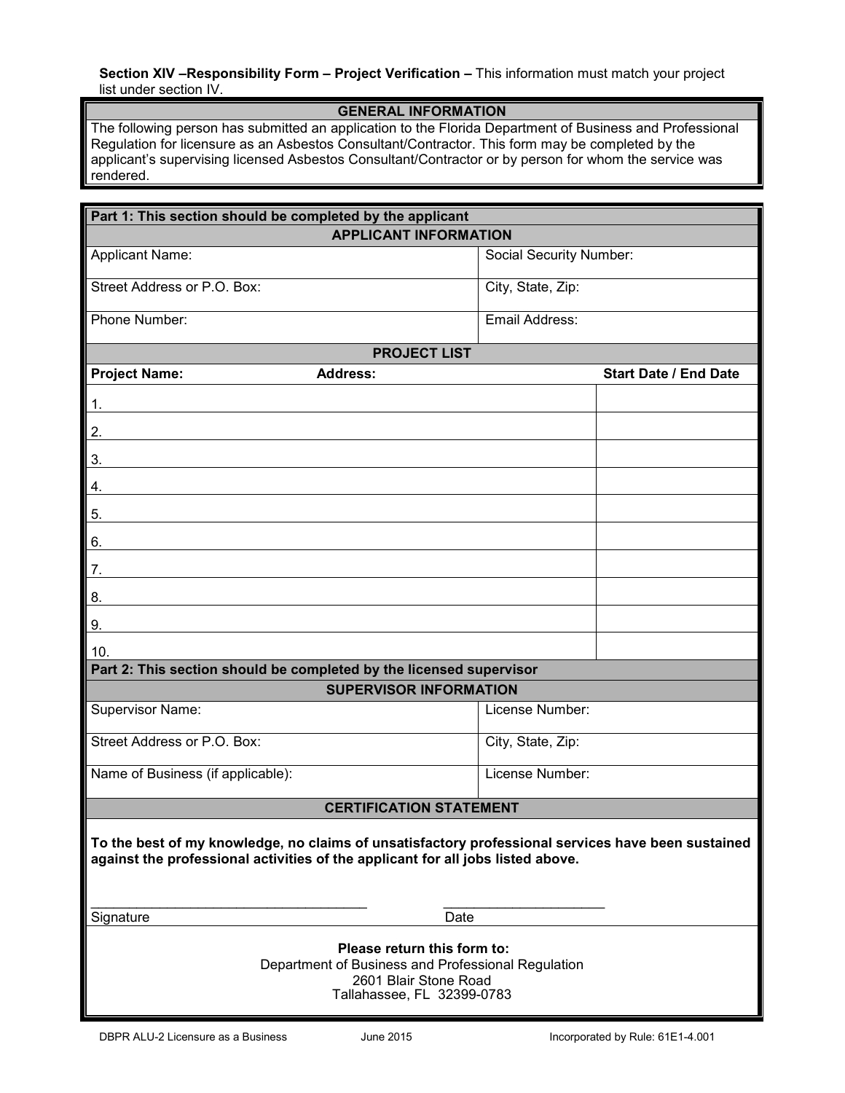**Section XIV –Responsibility Form – Project Verification –** This information must match your project list under section IV.

## **GENERAL INFORMATION**

The following person has submitted an application to the Florida Department of Business and Professional Regulation for licensure as an Asbestos Consultant/Contractor. This form may be completed by the applicant's supervising licensed Asbestos Consultant/Contractor or by person for whom the service was rendered.

| Part 1: This section should be completed by the applicant                                                                                                                             |                         |                              |  |  |
|---------------------------------------------------------------------------------------------------------------------------------------------------------------------------------------|-------------------------|------------------------------|--|--|
| <b>APPLICANT INFORMATION</b>                                                                                                                                                          |                         |                              |  |  |
| <b>Applicant Name:</b>                                                                                                                                                                | Social Security Number: |                              |  |  |
| Street Address or P.O. Box:                                                                                                                                                           | City, State, Zip:       |                              |  |  |
| Phone Number:                                                                                                                                                                         | Email Address:          |                              |  |  |
| <b>PROJECT LIST</b>                                                                                                                                                                   |                         |                              |  |  |
| <b>Project Name:</b><br><b>Address:</b>                                                                                                                                               |                         | <b>Start Date / End Date</b> |  |  |
| 1.                                                                                                                                                                                    |                         |                              |  |  |
| 2.                                                                                                                                                                                    |                         |                              |  |  |
| 3.                                                                                                                                                                                    |                         |                              |  |  |
| 4.                                                                                                                                                                                    |                         |                              |  |  |
| 5.                                                                                                                                                                                    |                         |                              |  |  |
| 6.                                                                                                                                                                                    |                         |                              |  |  |
| 7.                                                                                                                                                                                    |                         |                              |  |  |
| 8.                                                                                                                                                                                    |                         |                              |  |  |
| 9.                                                                                                                                                                                    |                         |                              |  |  |
| 10.<br>Part 2: This section should be completed by the licensed supervisor                                                                                                            |                         |                              |  |  |
| <b>SUPERVISOR INFORMATION</b>                                                                                                                                                         |                         |                              |  |  |
| Supervisor Name:                                                                                                                                                                      | License Number:         |                              |  |  |
| Street Address or P.O. Box:                                                                                                                                                           | City, State, Zip:       |                              |  |  |
| Name of Business (if applicable):                                                                                                                                                     | License Number:         |                              |  |  |
| <b>CERTIFICATION STATEMENT</b>                                                                                                                                                        |                         |                              |  |  |
| To the best of my knowledge, no claims of unsatisfactory professional services have been sustained<br>against the professional activities of the applicant for all jobs listed above. |                         |                              |  |  |
| Signature<br>Date                                                                                                                                                                     |                         |                              |  |  |
| Please return this form to:<br>Department of Business and Professional Regulation<br>2601 Blair Stone Road<br>Tallahassee, FL 32399-0783                                              |                         |                              |  |  |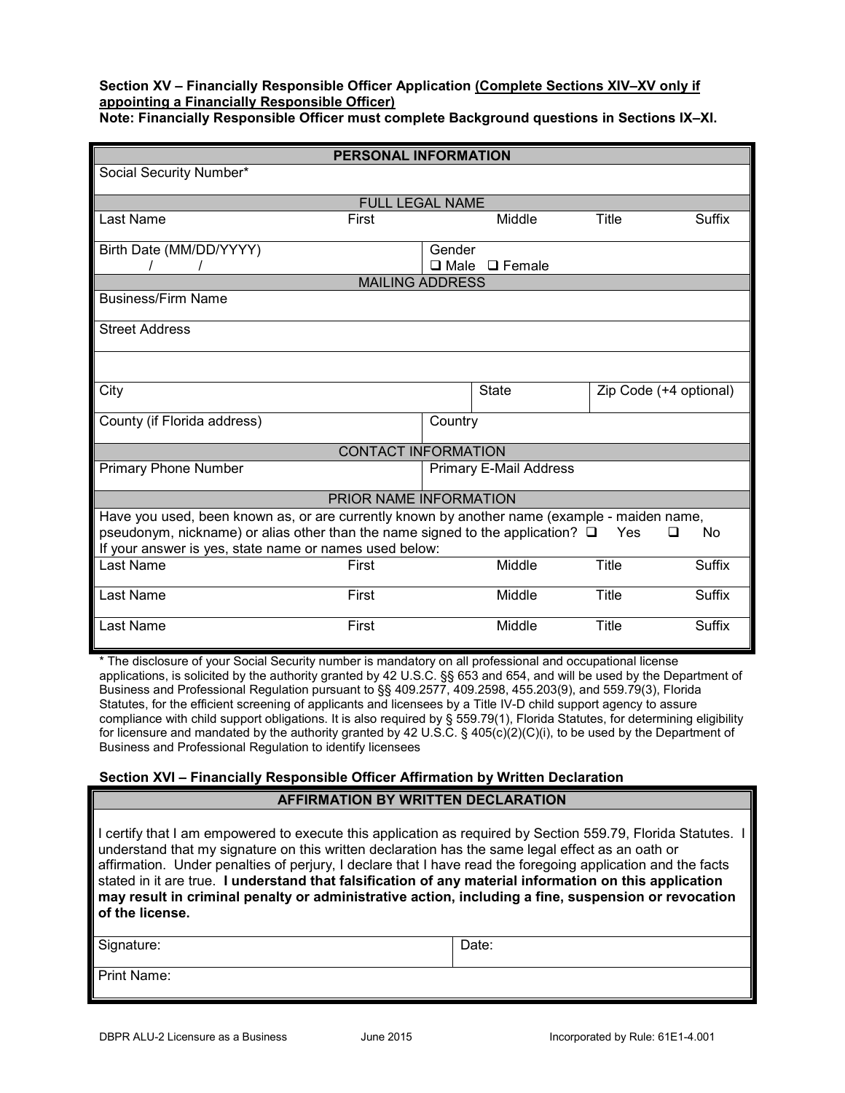#### **Section XV – Financially Responsible Officer Application (Complete Sections XIV–XV only if appointing a Financially Responsible Officer) Note: Financially Responsible Officer must complete Background questions in Sections IX–XI.**

|                                                                                                                                                                                                                                                            | PERSONAL INFORMATION       |                |                               |                        |               |  |
|------------------------------------------------------------------------------------------------------------------------------------------------------------------------------------------------------------------------------------------------------------|----------------------------|----------------|-------------------------------|------------------------|---------------|--|
| Social Security Number*                                                                                                                                                                                                                                    |                            |                |                               |                        |               |  |
| <b>FULL LEGAL NAME</b>                                                                                                                                                                                                                                     |                            |                |                               |                        |               |  |
| Last Name                                                                                                                                                                                                                                                  | First                      |                | Middle                        | Title                  | <b>Suffix</b> |  |
|                                                                                                                                                                                                                                                            |                            |                |                               |                        |               |  |
| Birth Date (MM/DD/YYYY)                                                                                                                                                                                                                                    |                            | Gender         |                               |                        |               |  |
|                                                                                                                                                                                                                                                            |                            | $\square$ Male | $\Box$ Female                 |                        |               |  |
|                                                                                                                                                                                                                                                            | <b>MAILING ADDRESS</b>     |                |                               |                        |               |  |
| <b>Business/Firm Name</b>                                                                                                                                                                                                                                  |                            |                |                               |                        |               |  |
| <b>Street Address</b>                                                                                                                                                                                                                                      |                            |                |                               |                        |               |  |
|                                                                                                                                                                                                                                                            |                            |                |                               |                        |               |  |
| City                                                                                                                                                                                                                                                       |                            |                | State                         | Zip Code (+4 optional) |               |  |
| County (if Florida address)                                                                                                                                                                                                                                |                            | Country        |                               |                        |               |  |
|                                                                                                                                                                                                                                                            | <b>CONTACT INFORMATION</b> |                |                               |                        |               |  |
| <b>Primary Phone Number</b>                                                                                                                                                                                                                                |                            |                | <b>Primary E-Mail Address</b> |                        |               |  |
|                                                                                                                                                                                                                                                            | PRIOR NAME INFORMATION     |                |                               |                        |               |  |
| Have you used, been known as, or are currently known by another name (example - maiden name,<br>pseudonym, nickname) or alias other than the name signed to the application? □<br>No<br>Yes<br>◻<br>If your answer is yes, state name or names used below: |                            |                |                               |                        |               |  |
| Last Name                                                                                                                                                                                                                                                  | First                      |                | Middle                        | <b>Title</b>           | <b>Suffix</b> |  |
| Last Name                                                                                                                                                                                                                                                  | First                      |                | Middle                        | Title                  | <b>Suffix</b> |  |
| Last Name                                                                                                                                                                                                                                                  | First                      |                | Middle                        | <b>Title</b>           | <b>Suffix</b> |  |

\* The disclosure of your Social Security number is mandatory on all professional and occupational license applications, is solicited by the authority granted by 42 U.S.C. §§ 653 and 654, and will be used by the Department of Business and Professional Regulation pursuant to §§ 409.2577, 409.2598, 455.203(9), and 559.79(3), Florida Statutes, for the efficient screening of applicants and licensees by a Title IV-D child support agency to assure compliance with child support obligations. It is also required by § 559.79(1), Florida Statutes, for determining eligibility for licensure and mandated by the authority granted by 42 U.S.C. § 405(c)(2)(C)(i), to be used by the Department of Business and Professional Regulation to identify licensees

## **Section XVI – Financially Responsible Officer Affirmation by Written Declaration AFFIRMATION BY WRITTEN DECLARATION**

I certify that I am empowered to execute this application as required by Section 559.79, Florida Statutes. I understand that my signature on this written declaration has the same legal effect as an oath or affirmation. Under penalties of perjury, I declare that I have read the foregoing application and the facts stated in it are true. **I understand that falsification of any material information on this application may result in criminal penalty or administrative action, including a fine, suspension or revocation of the license.**

Signature: Date: Date: Date: Date:

Print Name: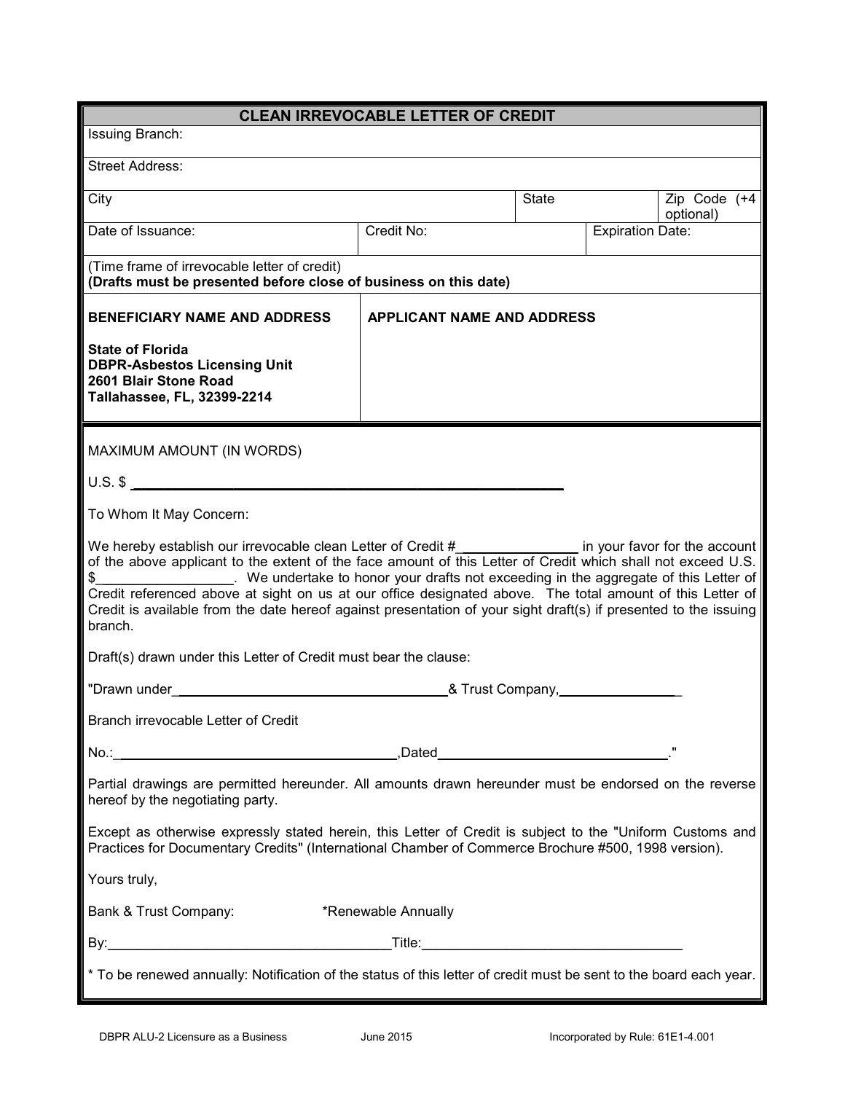| <b>CLEAN IRREVOCABLE LETTER OF CREDIT</b>                                                                                                                                                                                                                                                                                                                                                                                                                                                                                                                            |                                   |       |                         |                           |  |
|----------------------------------------------------------------------------------------------------------------------------------------------------------------------------------------------------------------------------------------------------------------------------------------------------------------------------------------------------------------------------------------------------------------------------------------------------------------------------------------------------------------------------------------------------------------------|-----------------------------------|-------|-------------------------|---------------------------|--|
| Issuing Branch:                                                                                                                                                                                                                                                                                                                                                                                                                                                                                                                                                      |                                   |       |                         |                           |  |
| <b>Street Address:</b>                                                                                                                                                                                                                                                                                                                                                                                                                                                                                                                                               |                                   |       |                         |                           |  |
| City                                                                                                                                                                                                                                                                                                                                                                                                                                                                                                                                                                 |                                   | State |                         | Zip Code (+4<br>optional) |  |
| Date of Issuance:                                                                                                                                                                                                                                                                                                                                                                                                                                                                                                                                                    | Credit No:                        |       | <b>Expiration Date:</b> |                           |  |
| (Time frame of irrevocable letter of credit)<br>(Drafts must be presented before close of business on this date)                                                                                                                                                                                                                                                                                                                                                                                                                                                     |                                   |       |                         |                           |  |
| <b>BENEFICIARY NAME AND ADDRESS</b>                                                                                                                                                                                                                                                                                                                                                                                                                                                                                                                                  | <b>APPLICANT NAME AND ADDRESS</b> |       |                         |                           |  |
| <b>State of Florida</b><br><b>DBPR-Asbestos Licensing Unit</b><br>2601 Blair Stone Road<br>Tallahassee, FL, 32399-2214                                                                                                                                                                                                                                                                                                                                                                                                                                               |                                   |       |                         |                           |  |
| MAXIMUM AMOUNT (IN WORDS)                                                                                                                                                                                                                                                                                                                                                                                                                                                                                                                                            |                                   |       |                         |                           |  |
| $U.S.$ \$                                                                                                                                                                                                                                                                                                                                                                                                                                                                                                                                                            |                                   |       |                         |                           |  |
| To Whom It May Concern:                                                                                                                                                                                                                                                                                                                                                                                                                                                                                                                                              |                                   |       |                         |                           |  |
| We hereby establish our irrevocable clean Letter of Credit #________________ in your favor for the account<br>of the above applicant to the extent of the face amount of this Letter of Credit which shall not exceed U.S.<br>. We undertake to honor your drafts not exceeding in the aggregate of this Letter of<br>\$<br>Credit referenced above at sight on us at our office designated above. The total amount of this Letter of<br>Credit is available from the date hereof against presentation of your sight draft(s) if presented to the issuing<br>branch. |                                   |       |                         |                           |  |
| Draft(s) drawn under this Letter of Credit must bear the clause:                                                                                                                                                                                                                                                                                                                                                                                                                                                                                                     |                                   |       |                         |                           |  |
| "Drawn under<br>& Trust Company,________                                                                                                                                                                                                                                                                                                                                                                                                                                                                                                                             |                                   |       |                         |                           |  |
| Branch irrevocable Letter of Credit                                                                                                                                                                                                                                                                                                                                                                                                                                                                                                                                  |                                   |       |                         |                           |  |
|                                                                                                                                                                                                                                                                                                                                                                                                                                                                                                                                                                      |                                   |       |                         |                           |  |
| Partial drawings are permitted hereunder. All amounts drawn hereunder must be endorsed on the reverse<br>hereof by the negotiating party.                                                                                                                                                                                                                                                                                                                                                                                                                            |                                   |       |                         |                           |  |
| Except as otherwise expressly stated herein, this Letter of Credit is subject to the "Uniform Customs and<br>Practices for Documentary Credits" (International Chamber of Commerce Brochure #500, 1998 version).                                                                                                                                                                                                                                                                                                                                                     |                                   |       |                         |                           |  |
| Yours truly,                                                                                                                                                                                                                                                                                                                                                                                                                                                                                                                                                         |                                   |       |                         |                           |  |
| Bank & Trust Company:<br>*Renewable Annually                                                                                                                                                                                                                                                                                                                                                                                                                                                                                                                         |                                   |       |                         |                           |  |
|                                                                                                                                                                                                                                                                                                                                                                                                                                                                                                                                                                      |                                   |       |                         |                           |  |
| * To be renewed annually: Notification of the status of this letter of credit must be sent to the board each year.                                                                                                                                                                                                                                                                                                                                                                                                                                                   |                                   |       |                         |                           |  |